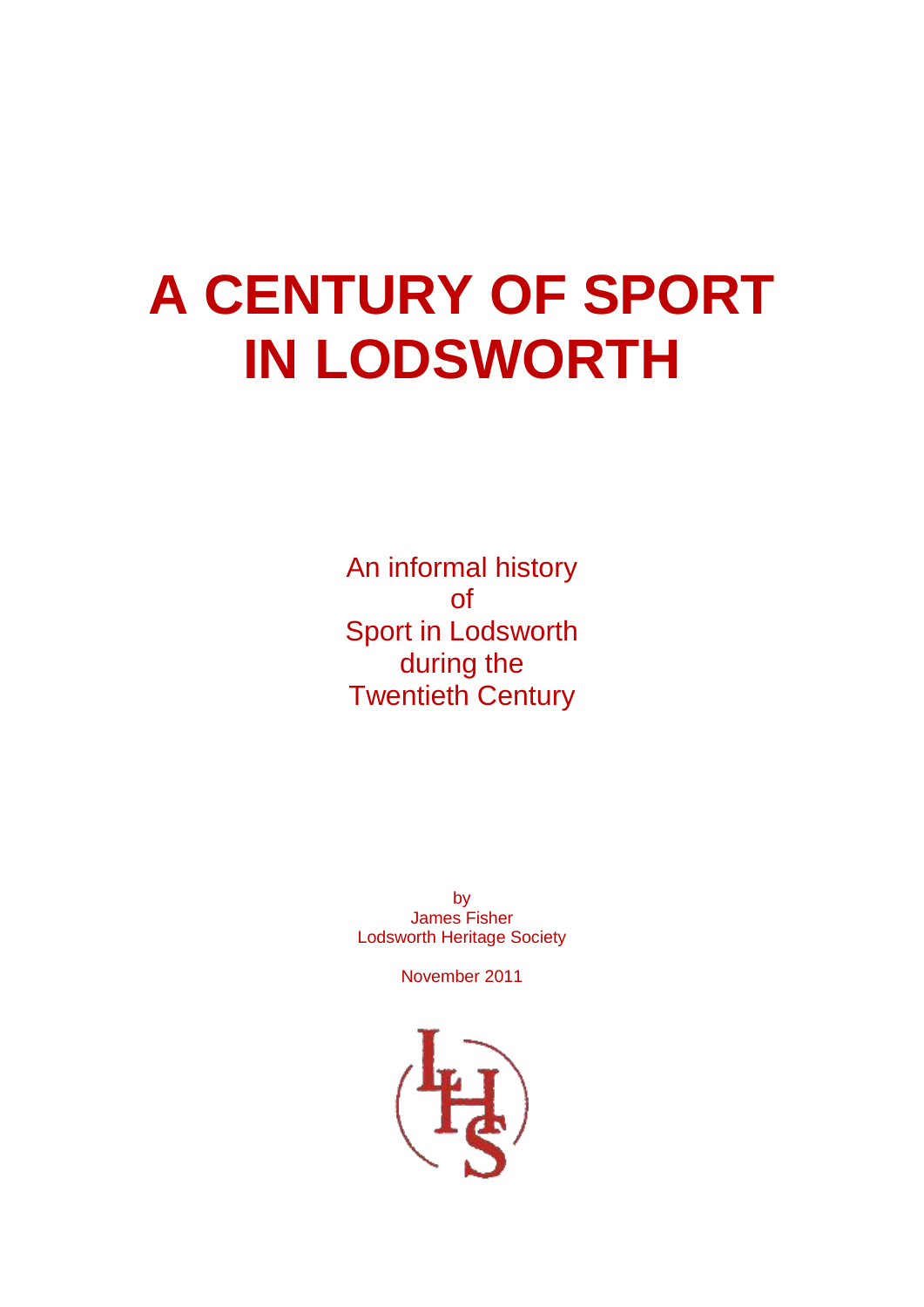# **A CENTURY OF SPORT IN LODSWORTH**

An informal history of Sport in Lodsworth during the Twentieth Century

by James Fisher Lodsworth Heritage Society

November 2011

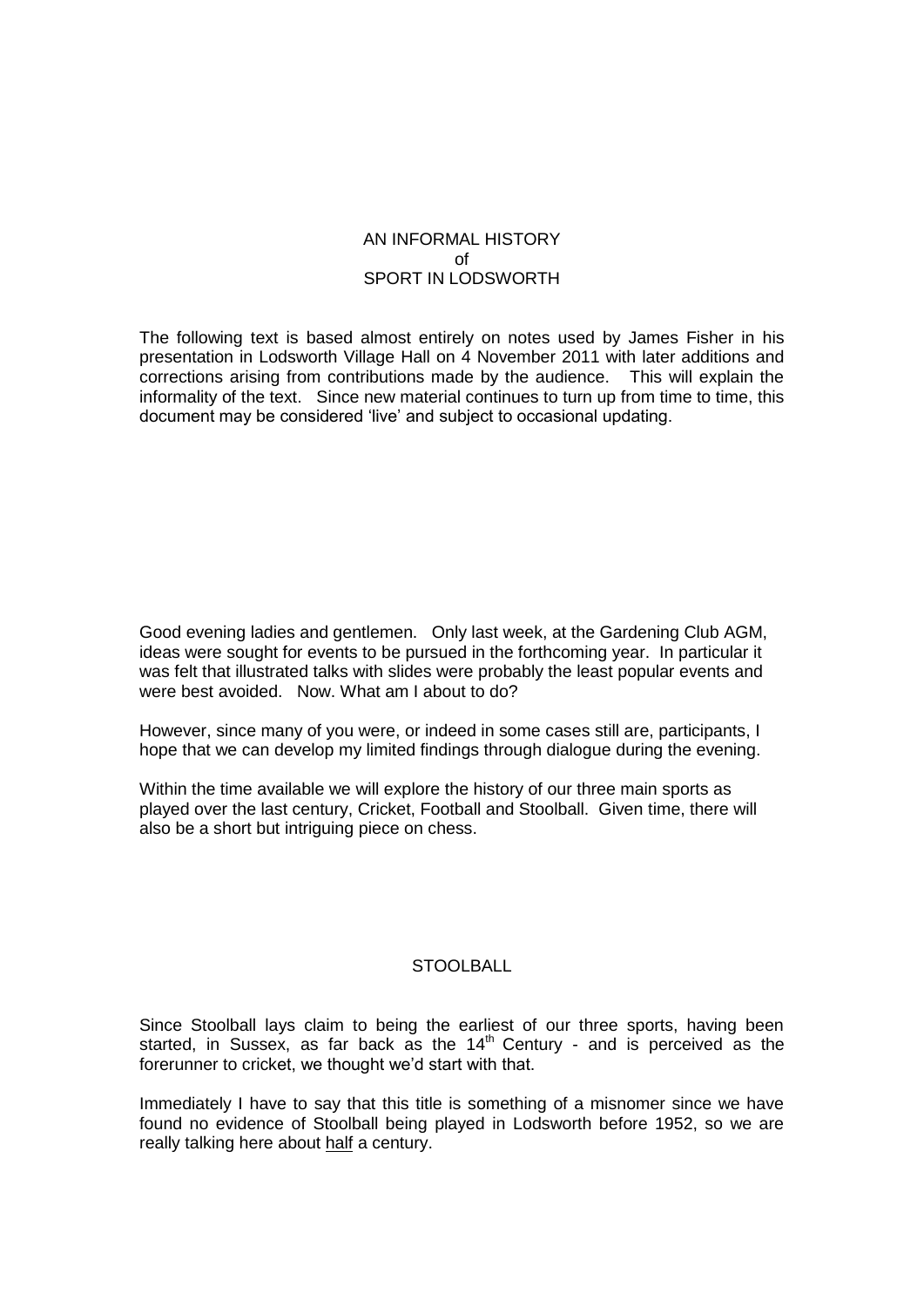## AN INFORMAL HISTORY  $\sim$ f SPORT IN LODSWORTH

The following text is based almost entirely on notes used by James Fisher in his presentation in Lodsworth Village Hall on 4 November 2011 with later additions and corrections arising from contributions made by the audience. This will explain the informality of the text. Since new material continues to turn up from time to time, this document may be considered 'live' and subject to occasional updating.

Good evening ladies and gentlemen. Only last week, at the Gardening Club AGM, ideas were sought for events to be pursued in the forthcoming year. In particular it was felt that illustrated talks with slides were probably the least popular events and were best avoided. Now. What am I about to do?

However, since many of you were, or indeed in some cases still are, participants, I hope that we can develop my limited findings through dialogue during the evening.

Within the time available we will explore the history of our three main sports as played over the last century, Cricket, Football and Stoolball. Given time, there will also be a short but intriguing piece on chess.

# STOOLBALL

Since Stoolball lays claim to being the earliest of our three sports, having been started, in Sussex, as far back as the  $14<sup>th</sup>$  Century - and is perceived as the forerunner to cricket, we thought we'd start with that.

Immediately I have to say that this title is something of a misnomer since we have found no evidence of Stoolball being played in Lodsworth before 1952, so we are really talking here about half a century.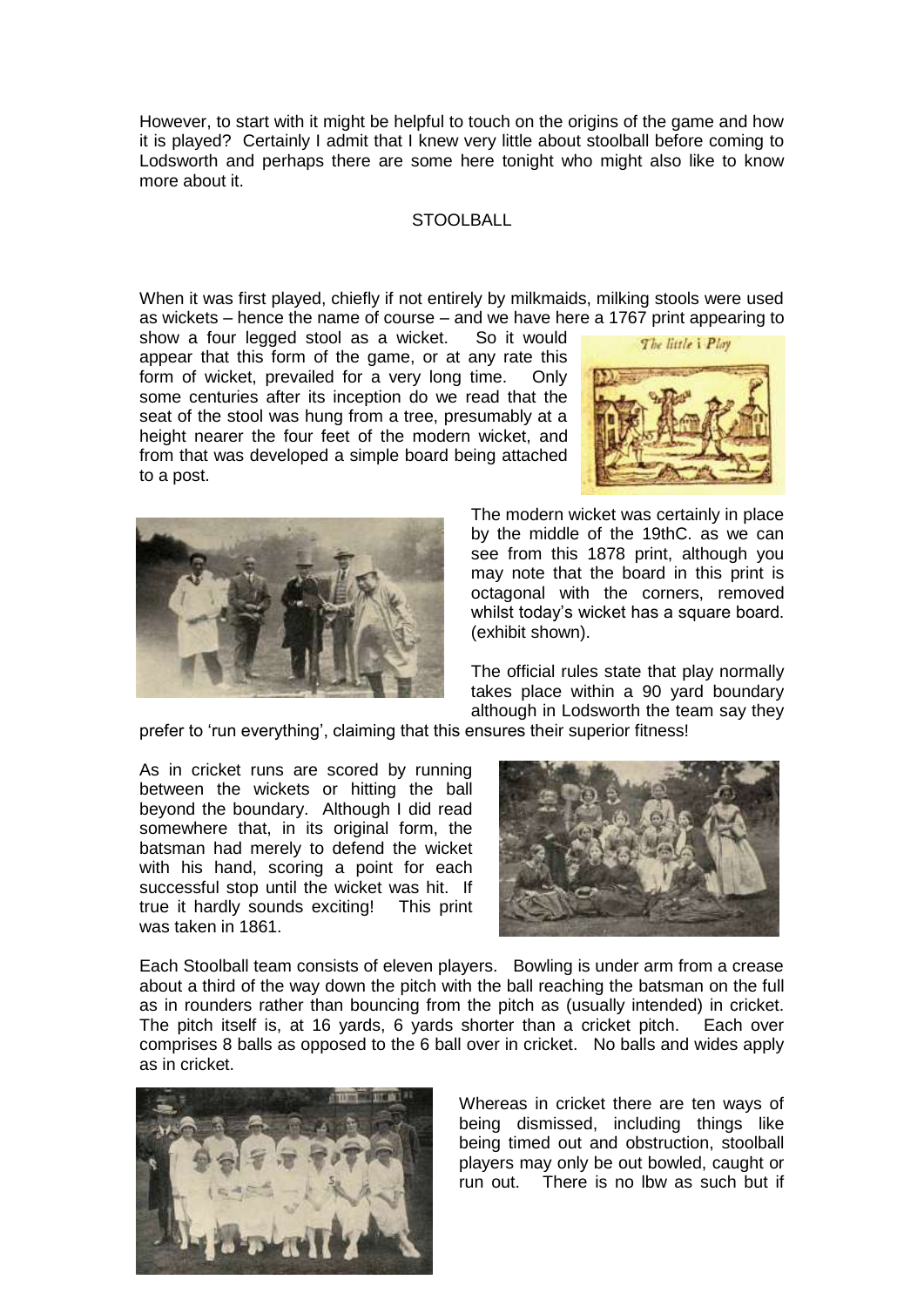However, to start with it might be helpful to touch on the origins of the game and how it is played? Certainly I admit that I knew very little about stoolball before coming to Lodsworth and perhaps there are some here tonight who might also like to know more about it.

## **STOOLBALL**

When it was first played, chiefly if not entirely by milkmaids, milking stools were used as wickets – hence the name of course – and we have here a 1767 print appearing to

show a four legged stool as a wicket. So it would appear that this form of the game, or at any rate this form of wicket, prevailed for a very long time. Only some centuries after its inception do we read that the seat of the stool was hung from a tree, presumably at a height nearer the four feet of the modern wicket, and from that was developed a simple board being attached to a post.





The modern wicket was certainly in place by the middle of the 19thC. as we can see from this 1878 print, although you may note that the board in this print is octagonal with the corners, removed whilst today's wicket has a square board. (exhibit shown).

The official rules state that play normally takes place within a 90 yard boundary although in Lodsworth the team say they

prefer to 'run everything', claiming that this ensures their superior fitness!

As in cricket runs are scored by running between the wickets or hitting the ball beyond the boundary. Although I did read somewhere that, in its original form, the batsman had merely to defend the wicket with his hand, scoring a point for each successful stop until the wicket was hit. If true it hardly sounds exciting! This print was taken in 1861.



Each Stoolball team consists of eleven players. Bowling is under arm from a crease about a third of the way down the pitch with the ball reaching the batsman on the full as in rounders rather than bouncing from the pitch as (usually intended) in cricket. The pitch itself is, at 16 yards, 6 yards shorter than a cricket pitch. Each over comprises 8 balls as opposed to the 6 ball over in cricket. No balls and wides apply as in cricket.



Whereas in cricket there are ten ways of being dismissed, including things like being timed out and obstruction, stoolball players may only be out bowled, caught or run out. There is no lbw as such but if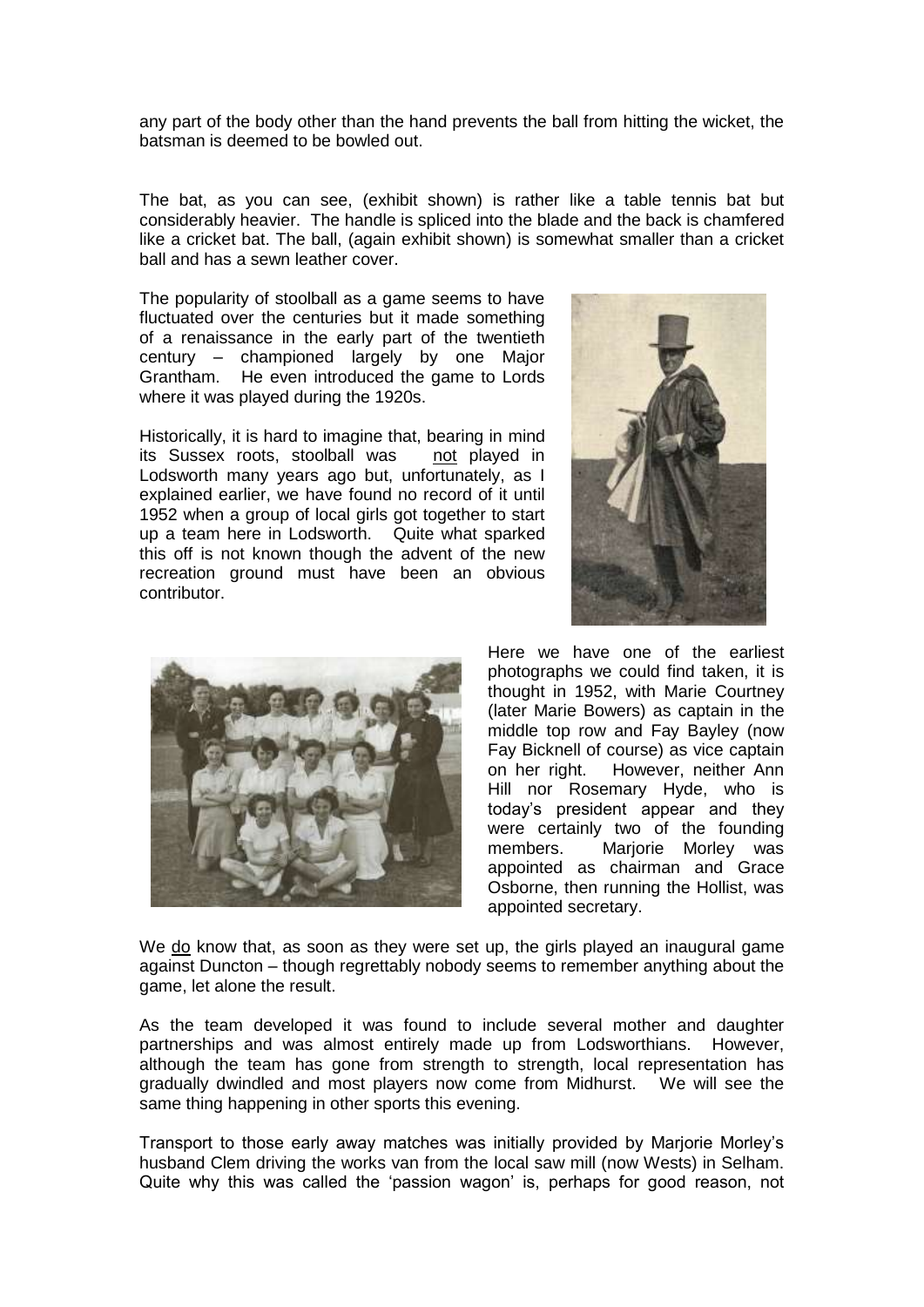any part of the body other than the hand prevents the ball from hitting the wicket, the batsman is deemed to be bowled out.

The bat, as you can see, (exhibit shown) is rather like a table tennis bat but considerably heavier. The handle is spliced into the blade and the back is chamfered like a cricket bat. The ball, (again exhibit shown) is somewhat smaller than a cricket ball and has a sewn leather cover.

The popularity of stoolball as a game seems to have fluctuated over the centuries but it made something of a renaissance in the early part of the twentieth century – championed largely by one Major Grantham. He even introduced the game to Lords where it was played during the 1920s.

Historically, it is hard to imagine that, bearing in mind its Sussex roots, stoolball was not played in Lodsworth many years ago but, unfortunately, as I explained earlier, we have found no record of it until 1952 when a group of local girls got together to start up a team here in Lodsworth. Quite what sparked this off is not known though the advent of the new recreation ground must have been an obvious contributor.





Here we have one of the earliest photographs we could find taken, it is thought in 1952, with Marie Courtney (later Marie Bowers) as captain in the middle top row and Fay Bayley (now Fay Bicknell of course) as vice captain on her right. However, neither Ann Hill nor Rosemary Hyde, who is today's president appear and they were certainly two of the founding members. Marjorie Morley was appointed as chairman and Grace Osborne, then running the Hollist, was appointed secretary.

We do know that, as soon as they were set up, the girls played an inaugural game against Duncton – though regrettably nobody seems to remember anything about the game, let alone the result.

As the team developed it was found to include several mother and daughter partnerships and was almost entirely made up from Lodsworthians. However, although the team has gone from strength to strength, local representation has gradually dwindled and most players now come from Midhurst. We will see the same thing happening in other sports this evening.

Transport to those early away matches was initially provided by Marjorie Morley's husband Clem driving the works van from the local saw mill (now Wests) in Selham. Quite why this was called the 'passion wagon' is, perhaps for good reason, not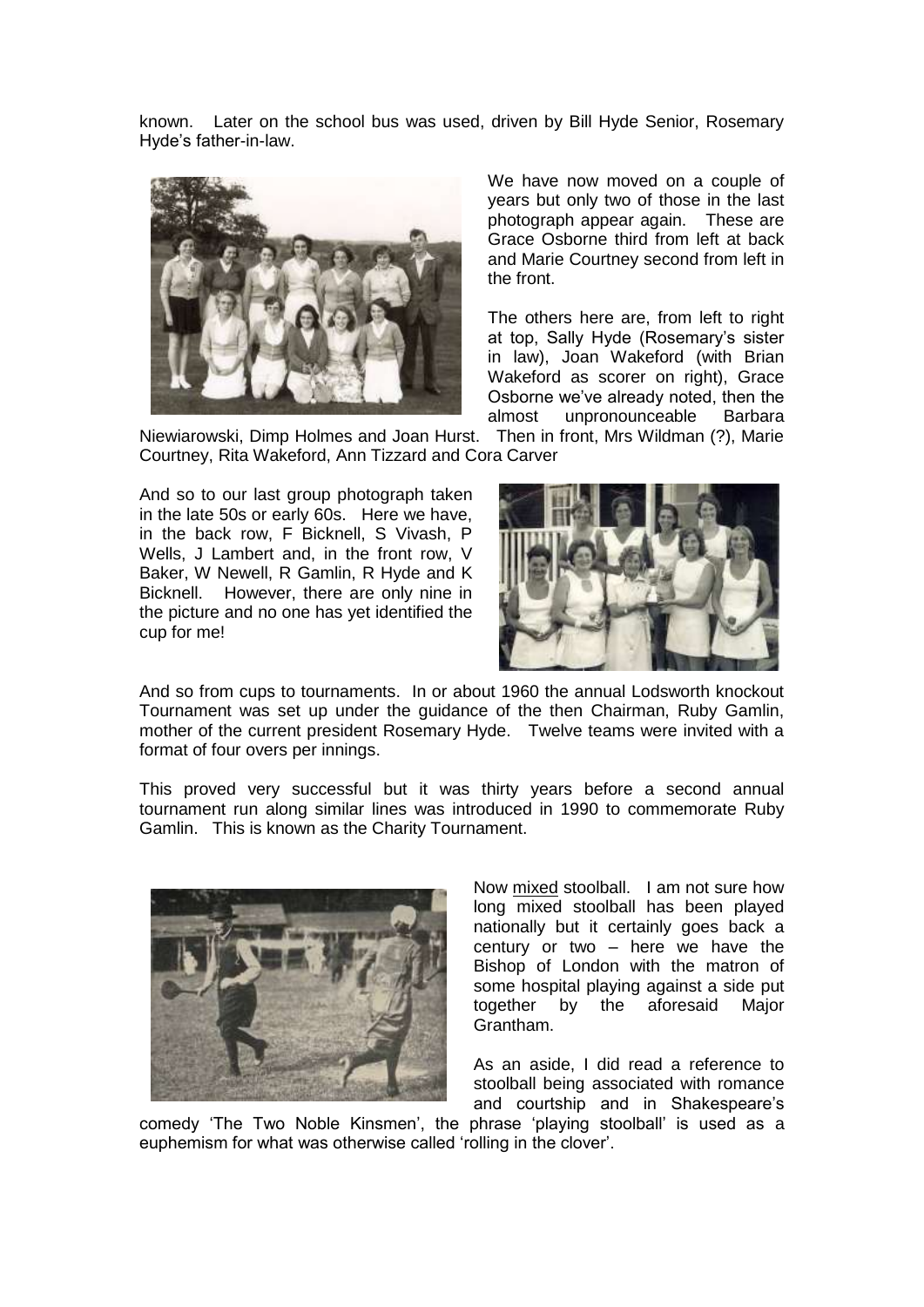known. Later on the school bus was used, driven by Bill Hyde Senior, Rosemary Hyde's father-in-law.



We have now moved on a couple of years but only two of those in the last photograph appear again. These are Grace Osborne third from left at back and Marie Courtney second from left in the front.

The others here are, from left to right at top, Sally Hyde (Rosemary's sister in law), Joan Wakeford (with Brian Wakeford as scorer on right), Grace Osborne we've already noted, then the almost unpronounceable Barbara

Niewiarowski, Dimp Holmes and Joan Hurst. Then in front, Mrs Wildman (?), Marie Courtney, Rita Wakeford, Ann Tizzard and Cora Carver

And so to our last group photograph taken in the late 50s or early 60s. Here we have, in the back row, F Bicknell, S Vivash, P Wells, J Lambert and, in the front row, V Baker, W Newell, R Gamlin, R Hyde and K Bicknell. However, there are only nine in the picture and no one has yet identified the cup for me!



And so from cups to tournaments. In or about 1960 the annual Lodsworth knockout Tournament was set up under the guidance of the then Chairman, Ruby Gamlin, mother of the current president Rosemary Hyde. Twelve teams were invited with a format of four overs per innings.

This proved very successful but it was thirty years before a second annual tournament run along similar lines was introduced in 1990 to commemorate Ruby Gamlin. This is known as the Charity Tournament.



Now mixed stoolball. I am not sure how long mixed stoolball has been played nationally but it certainly goes back a century or two – here we have the Bishop of London with the matron of some hospital playing against a side put together by the aforesaid Major Grantham.

As an aside, I did read a reference to stoolball being associated with romance and courtship and in Shakespeare's

comedy 'The Two Noble Kinsmen', the phrase 'playing stoolball' is used as a euphemism for what was otherwise called 'rolling in the clover'.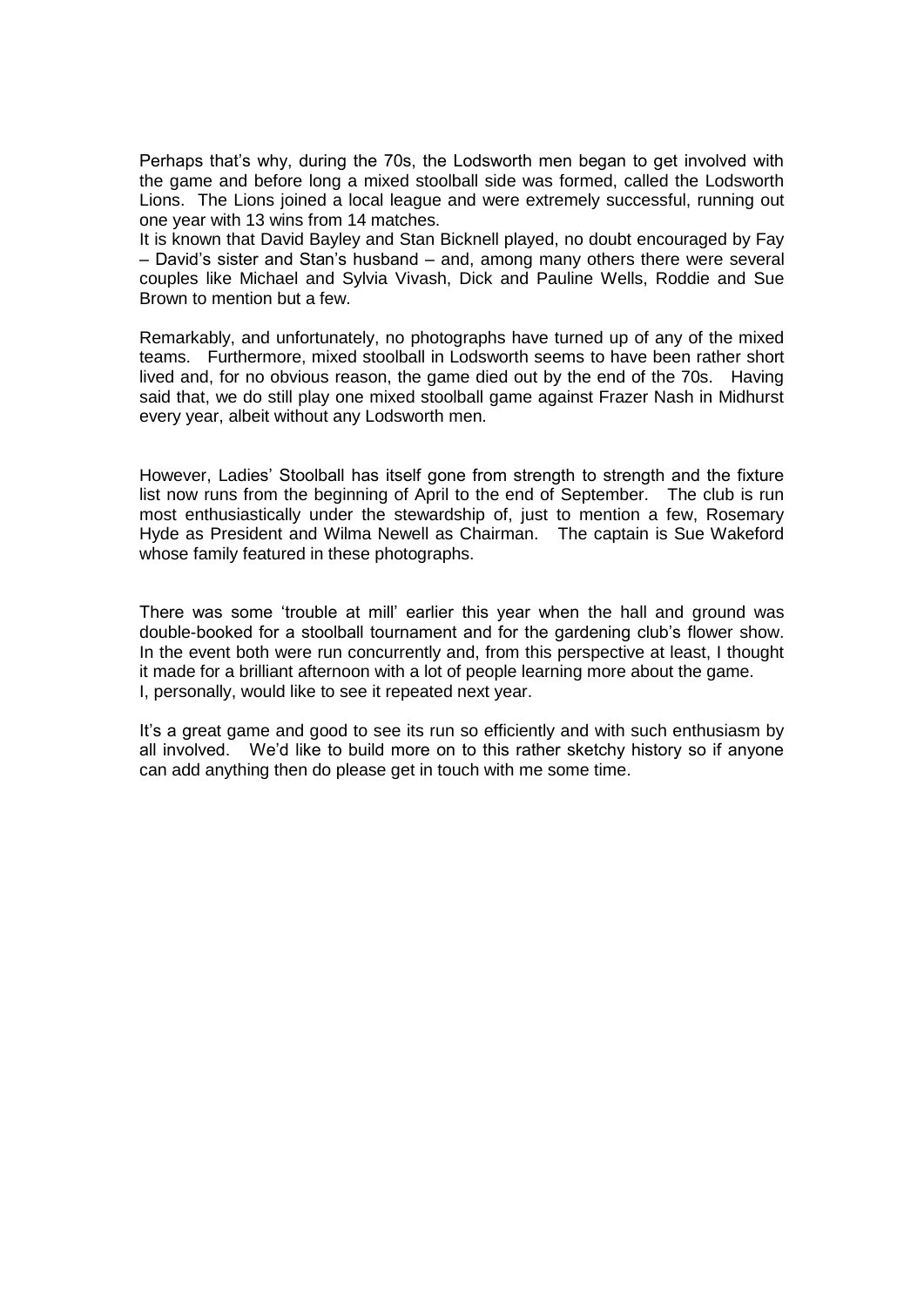Perhaps that's why, during the 70s, the Lodsworth men began to get involved with the game and before long a mixed stoolball side was formed, called the Lodsworth Lions. The Lions joined a local league and were extremely successful, running out one year with 13 wins from 14 matches.

It is known that David Bayley and Stan Bicknell played, no doubt encouraged by Fay – David's sister and Stan's husband – and, among many others there were several couples like Michael and Sylvia Vivash, Dick and Pauline Wells, Roddie and Sue Brown to mention but a few.

Remarkably, and unfortunately, no photographs have turned up of any of the mixed teams. Furthermore, mixed stoolball in Lodsworth seems to have been rather short lived and, for no obvious reason, the game died out by the end of the 70s. Having said that, we do still play one mixed stoolball game against Frazer Nash in Midhurst every year, albeit without any Lodsworth men.

However, Ladies' Stoolball has itself gone from strength to strength and the fixture list now runs from the beginning of April to the end of September. The club is run most enthusiastically under the stewardship of, just to mention a few, Rosemary Hyde as President and Wilma Newell as Chairman. The captain is Sue Wakeford whose family featured in these photographs.

There was some 'trouble at mill' earlier this year when the hall and ground was double-booked for a stoolball tournament and for the gardening club's flower show. In the event both were run concurrently and, from this perspective at least, I thought it made for a brilliant afternoon with a lot of people learning more about the game. I, personally, would like to see it repeated next year.

It's a great game and good to see its run so efficiently and with such enthusiasm by all involved. We'd like to build more on to this rather sketchy history so if anyone can add anything then do please get in touch with me some time.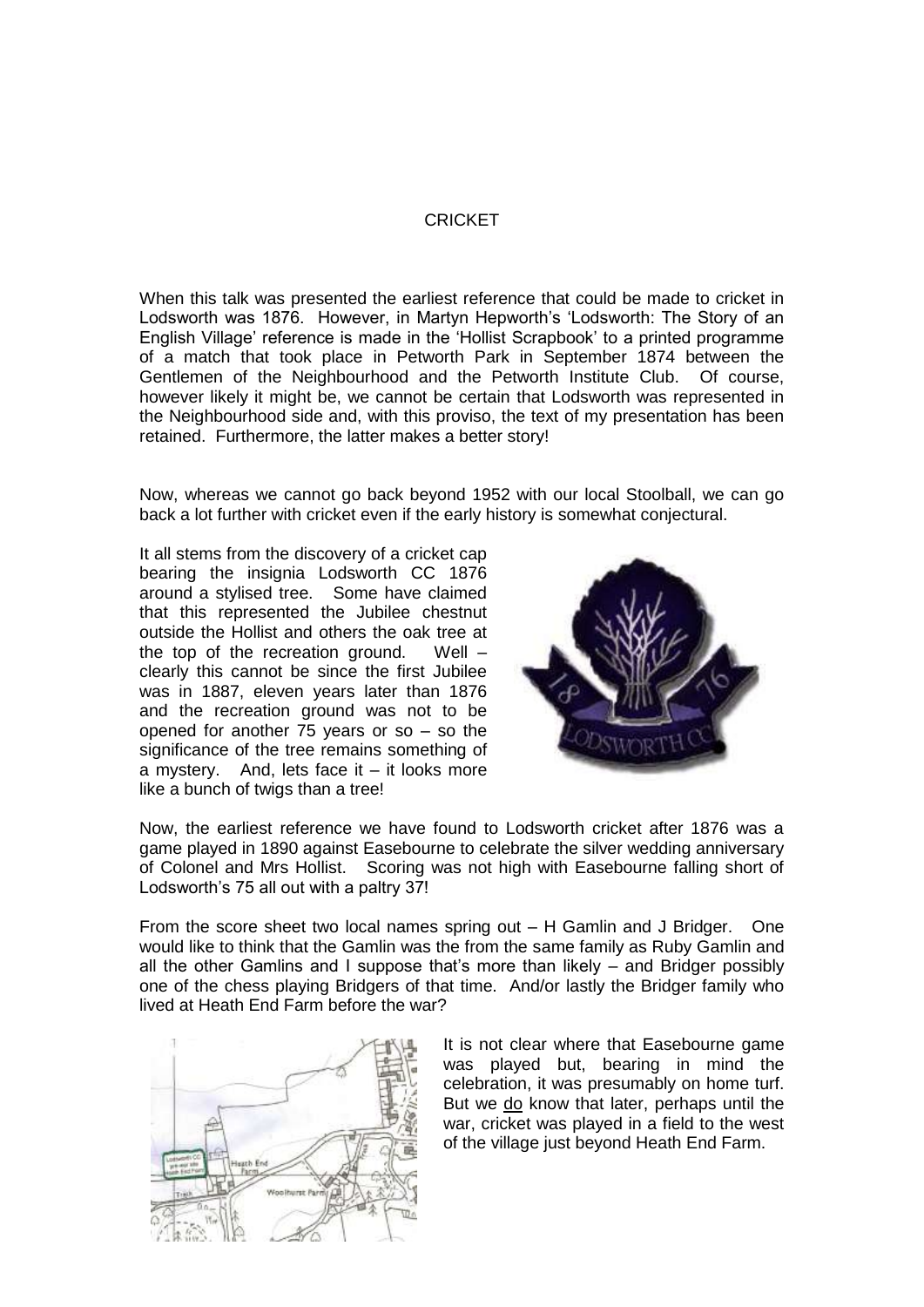#### CRICKET

When this talk was presented the earliest reference that could be made to cricket in Lodsworth was 1876. However, in Martyn Hepworth's 'Lodsworth: The Story of an English Village' reference is made in the 'Hollist Scrapbook' to a printed programme of a match that took place in Petworth Park in September 1874 between the Gentlemen of the Neighbourhood and the Petworth Institute Club. Of course, however likely it might be, we cannot be certain that Lodsworth was represented in the Neighbourhood side and, with this proviso, the text of my presentation has been retained. Furthermore, the latter makes a better story!

Now, whereas we cannot go back beyond 1952 with our local Stoolball, we can go back a lot further with cricket even if the early history is somewhat conjectural.

It all stems from the discovery of a cricket cap bearing the insignia Lodsworth CC 1876 around a stylised tree. Some have claimed that this represented the Jubilee chestnut outside the Hollist and others the oak tree at the top of the recreation ground. Well – clearly this cannot be since the first Jubilee was in 1887, eleven years later than 1876 and the recreation ground was not to be opened for another 75 years or so – so the significance of the tree remains something of a mystery. And, lets face it – it looks more like a bunch of twigs than a tree!



Now, the earliest reference we have found to Lodsworth cricket after 1876 was a game played in 1890 against Easebourne to celebrate the silver wedding anniversary of Colonel and Mrs Hollist. Scoring was not high with Easebourne falling short of Lodsworth's 75 all out with a paltry 37!

From the score sheet two local names spring out – H Gamlin and J Bridger. One would like to think that the Gamlin was the from the same family as Ruby Gamlin and all the other Gamlins and I suppose that's more than likely – and Bridger possibly one of the chess playing Bridgers of that time. And/or lastly the Bridger family who lived at Heath End Farm before the war?



It is not clear where that Easebourne game was played but, bearing in mind the celebration, it was presumably on home turf. But we do know that later, perhaps until the war, cricket was played in a field to the west of the village just beyond Heath End Farm.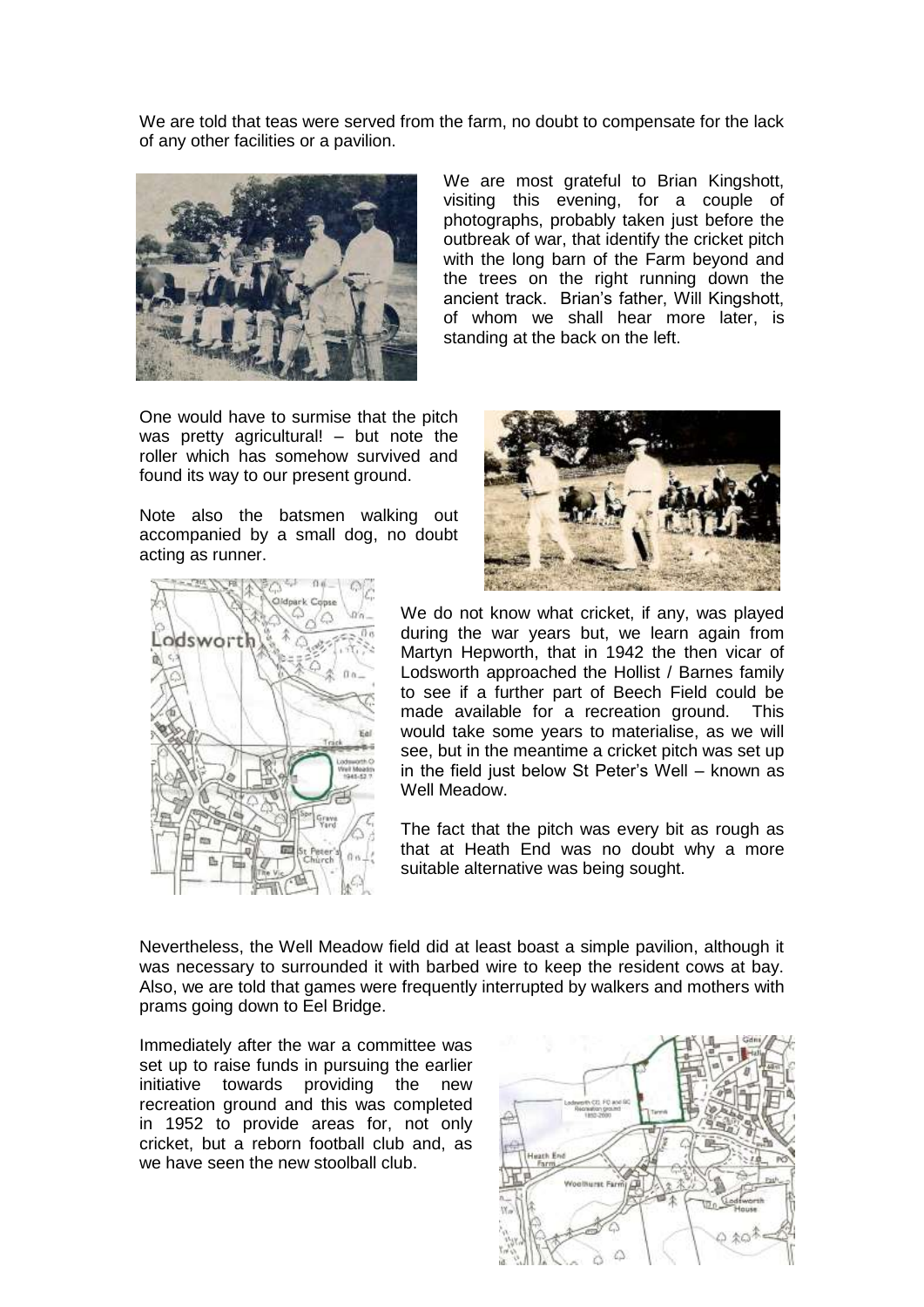We are told that teas were served from the farm, no doubt to compensate for the lack of any other facilities or a pavilion.



We are most grateful to Brian Kingshott, visiting this evening, for a couple of photographs, probably taken just before the outbreak of war, that identify the cricket pitch with the long barn of the Farm beyond and the trees on the right running down the ancient track. Brian's father, Will Kingshott, of whom we shall hear more later, is standing at the back on the left.

One would have to surmise that the pitch was pretty agricultural! – but note the roller which has somehow survived and found its way to our present ground.

Note also the batsmen walking out accompanied by a small dog, no doubt acting as runner.





We do not know what cricket, if any, was played during the war years but, we learn again from Martyn Hepworth, that in 1942 the then vicar of Lodsworth approached the Hollist / Barnes family to see if a further part of Beech Field could be made available for a recreation ground. This would take some years to materialise, as we will see, but in the meantime a cricket pitch was set up in the field just below St Peter's Well – known as Well Meadow

The fact that the pitch was every bit as rough as that at Heath End was no doubt why a more suitable alternative was being sought.

Nevertheless, the Well Meadow field did at least boast a simple pavilion, although it was necessary to surrounded it with barbed wire to keep the resident cows at bay. Also, we are told that games were frequently interrupted by walkers and mothers with prams going down to Eel Bridge.

Immediately after the war a committee was set up to raise funds in pursuing the earlier initiative towards providing the new recreation ground and this was completed in 1952 to provide areas for, not only cricket, but a reborn football club and, as we have seen the new stoolball club.

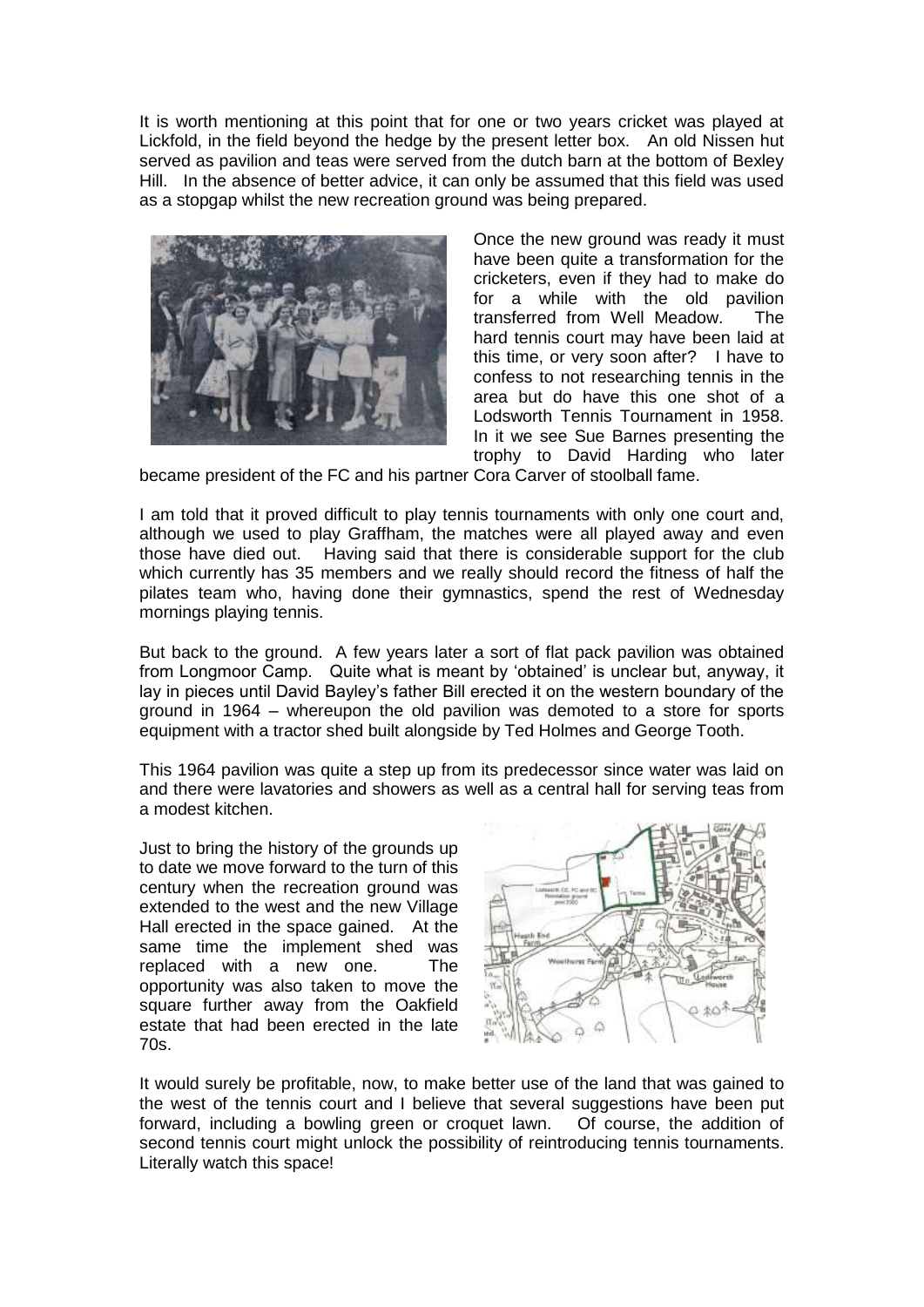It is worth mentioning at this point that for one or two years cricket was played at Lickfold, in the field beyond the hedge by the present letter box. An old Nissen hut served as pavilion and teas were served from the dutch barn at the bottom of Bexley Hill. In the absence of better advice, it can only be assumed that this field was used as a stopgap whilst the new recreation ground was being prepared.



Once the new ground was ready it must have been quite a transformation for the cricketers, even if they had to make do for a while with the old pavilion transferred from Well Meadow. The hard tennis court may have been laid at this time, or very soon after? I have to confess to not researching tennis in the area but do have this one shot of a Lodsworth Tennis Tournament in 1958. In it we see Sue Barnes presenting the trophy to David Harding who later

became president of the FC and his partner Cora Carver of stoolball fame.

I am told that it proved difficult to play tennis tournaments with only one court and, although we used to play Graffham, the matches were all played away and even those have died out. Having said that there is considerable support for the club which currently has 35 members and we really should record the fitness of half the pilates team who, having done their gymnastics, spend the rest of Wednesday mornings playing tennis.

But back to the ground. A few years later a sort of flat pack pavilion was obtained from Longmoor Camp. Quite what is meant by 'obtained' is unclear but, anyway, it lay in pieces until David Bayley's father Bill erected it on the western boundary of the ground in 1964 – whereupon the old pavilion was demoted to a store for sports equipment with a tractor shed built alongside by Ted Holmes and George Tooth.

This 1964 pavilion was quite a step up from its predecessor since water was laid on and there were lavatories and showers as well as a central hall for serving teas from a modest kitchen.

Just to bring the history of the grounds up to date we move forward to the turn of this century when the recreation ground was extended to the west and the new Village Hall erected in the space gained. At the same time the implement shed was replaced with a new one. The opportunity was also taken to move the square further away from the Oakfield estate that had been erected in the late 70s.



It would surely be profitable, now, to make better use of the land that was gained to the west of the tennis court and I believe that several suggestions have been put forward, including a bowling green or croquet lawn. Of course, the addition of second tennis court might unlock the possibility of reintroducing tennis tournaments. Literally watch this space!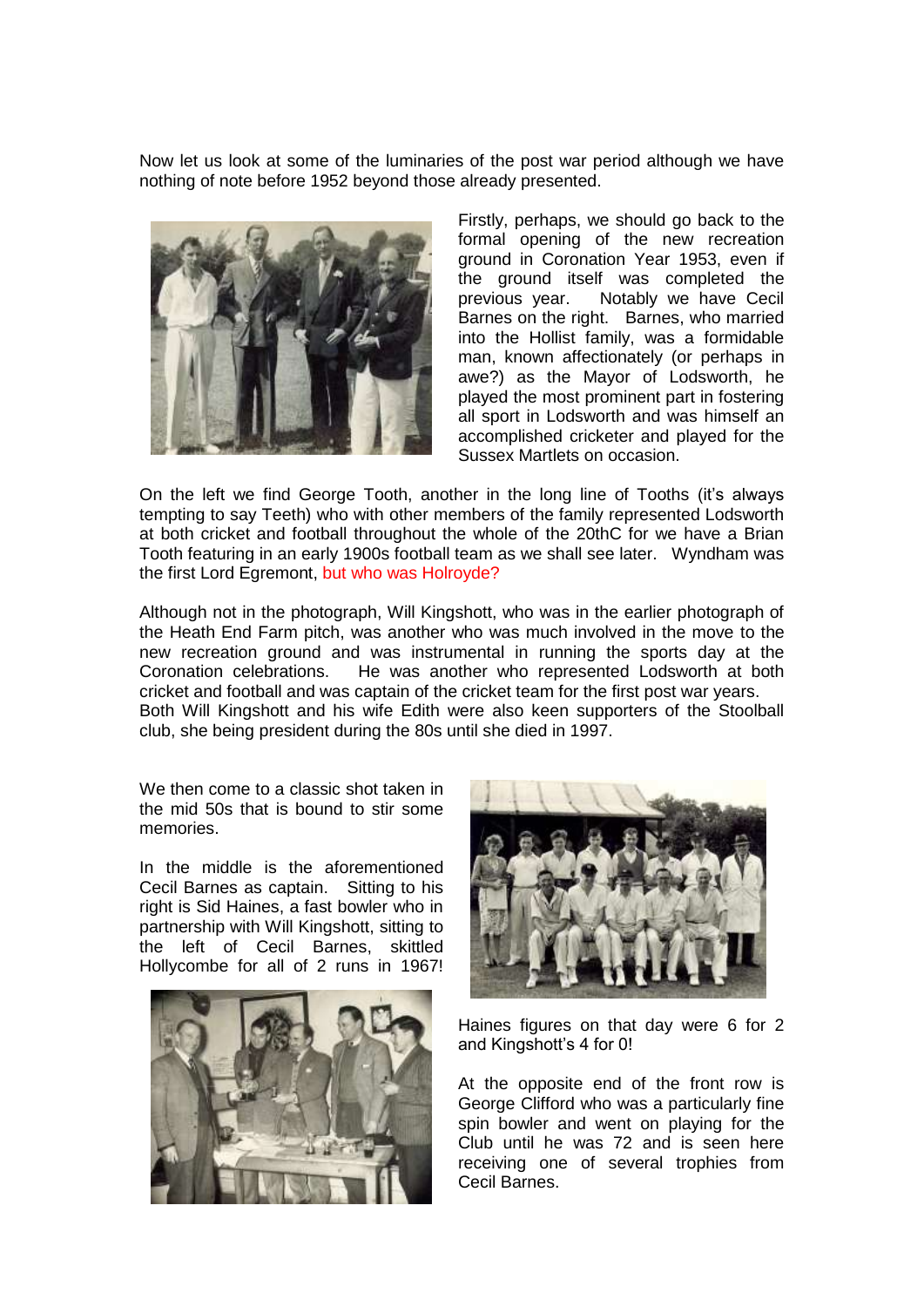Now let us look at some of the luminaries of the post war period although we have nothing of note before 1952 beyond those already presented.



Firstly, perhaps, we should go back to the formal opening of the new recreation ground in Coronation Year 1953, even if the ground itself was completed the<br>previous year. Notably we have Cecil Notably we have Cecil Barnes on the right. Barnes, who married into the Hollist family, was a formidable man, known affectionately (or perhaps in awe?) as the Mayor of Lodsworth, he played the most prominent part in fostering all sport in Lodsworth and was himself an accomplished cricketer and played for the Sussex Martlets on occasion.

On the left we find George Tooth, another in the long line of Tooths (it's always tempting to say Teeth) who with other members of the family represented Lodsworth at both cricket and football throughout the whole of the 20thC for we have a Brian Tooth featuring in an early 1900s football team as we shall see later. Wyndham was the first Lord Egremont, but who was Holroyde?

Although not in the photograph, Will Kingshott, who was in the earlier photograph of the Heath End Farm pitch, was another who was much involved in the move to the new recreation ground and was instrumental in running the sports day at the Coronation celebrations. He was another who represented Lodsworth at both cricket and football and was captain of the cricket team for the first post war years. Both Will Kingshott and his wife Edith were also keen supporters of the Stoolball club, she being president during the 80s until she died in 1997.

We then come to a classic shot taken in the mid 50s that is bound to stir some memories.

In the middle is the aforementioned Cecil Barnes as captain. Sitting to his right is Sid Haines, a fast bowler who in partnership with Will Kingshott, sitting to the left of Cecil Barnes, skittled Hollycombe for all of 2 runs in 1967!





Haines figures on that day were 6 for 2 and Kingshott's 4 for 0!

At the opposite end of the front row is George Clifford who was a particularly fine spin bowler and went on playing for the Club until he was 72 and is seen here receiving one of several trophies from Cecil Barnes.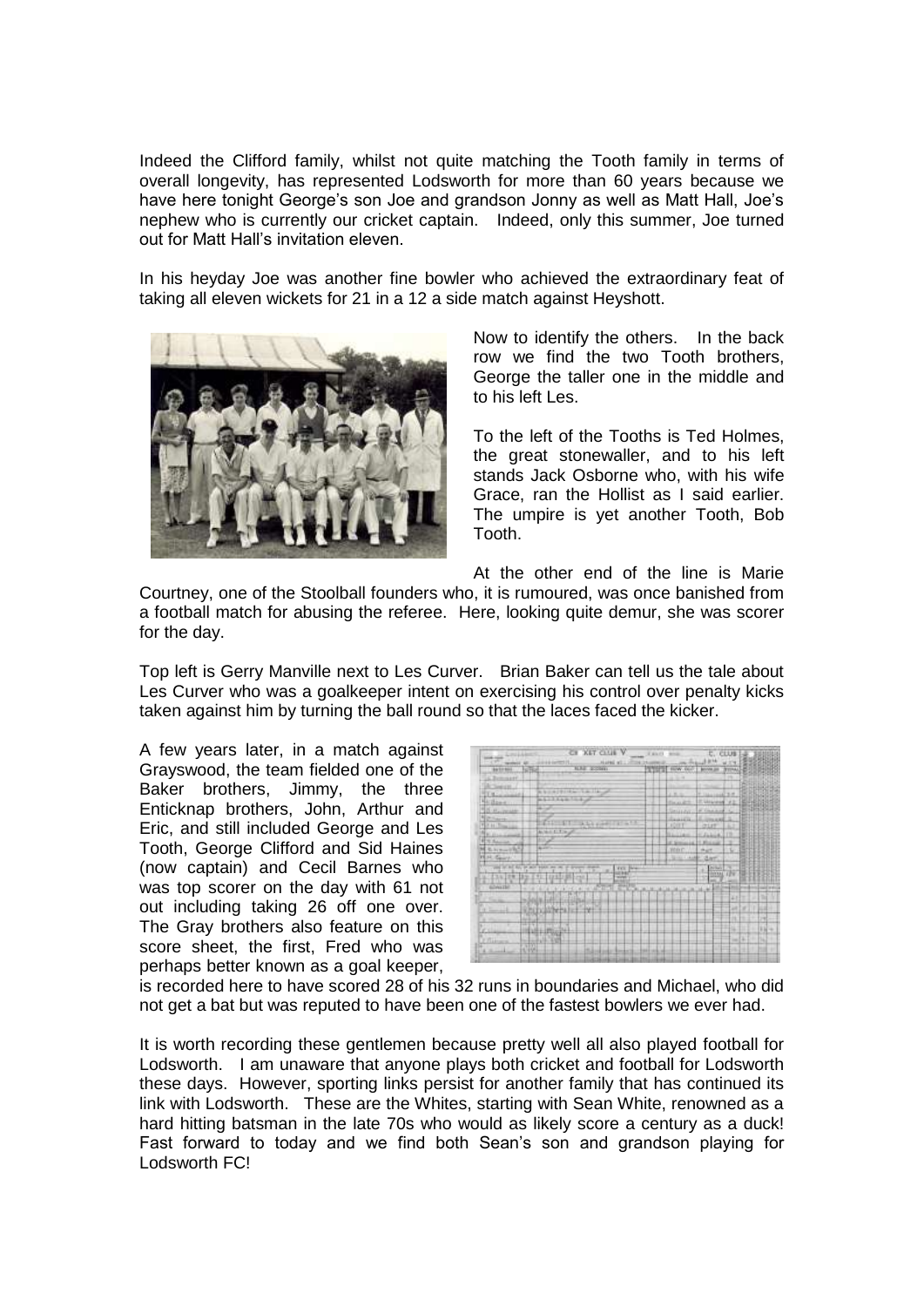Indeed the Clifford family, whilst not quite matching the Tooth family in terms of overall longevity, has represented Lodsworth for more than 60 years because we have here tonight George's son Joe and grandson Jonny as well as Matt Hall, Joe's nephew who is currently our cricket captain. Indeed, only this summer, Joe turned out for Matt Hall's invitation eleven.

In his heyday Joe was another fine bowler who achieved the extraordinary feat of taking all eleven wickets for 21 in a 12 a side match against Heyshott.



Now to identify the others. In the back row we find the two Tooth brothers, George the taller one in the middle and to his left Les.

To the left of the Tooths is Ted Holmes, the great stonewaller, and to his left stands Jack Osborne who, with his wife Grace, ran the Hollist as I said earlier. The umpire is yet another Tooth, Bob Tooth.

At the other end of the line is Marie

Courtney, one of the Stoolball founders who, it is rumoured, was once banished from a football match for abusing the referee. Here, looking quite demur, she was scorer for the day.

Top left is Gerry Manville next to Les Curver. Brian Baker can tell us the tale about Les Curver who was a goalkeeper intent on exercising his control over penalty kicks taken against him by turning the ball round so that the laces faced the kicker.

A few years later, in a match against Grayswood, the team fielded one of the Baker brothers, Jimmy, the three Enticknap brothers, John, Arthur and Eric, and still included George and Les Tooth, George Clifford and Sid Haines (now captain) and Cecil Barnes who was top scorer on the day with 61 not out including taking 26 off one over. The Gray brothers also feature on this score sheet, the first, Fred who was perhaps better known as a goal keeper,

|                                            | <b>CH XET CILLE V</b>                   | W Mik (F) |                               | t. clus                       |                |          |             |
|--------------------------------------------|-----------------------------------------|-----------|-------------------------------|-------------------------------|----------------|----------|-------------|
| .<br><b>CONTRACT</b><br>JUNEAU GATEST 23   | <b>NAME RTL</b>                         |           |                               |                               |                |          |             |
| <b>CHOI</b><br><b>BATHER</b>               | <b>KAI KONA</b>                         |           | <b>THEFT NEW OLD</b>          | <b>Bonne Jan</b>              | <b>SYSTEMA</b> |          |             |
| L. Bemasser                                |                                         |           | $-1 - 4$                      |                               |                |          |             |
| in Towers                                  |                                         |           |                               | . .                           |                |          |             |
| T 41-connect                               | A NUMBER OF STREET<br>44134427242       |           | 3.8.9.                        | <b>F. Hannon B.R.</b>         |                |          |             |
| Hillbert                                   |                                         |           | <b>Bault</b>                  | E. Missing 193                |                | 島田       |             |
| <b>SILLINGHAM</b>                          |                                         |           | Seuson                        | <b>W. Grandon</b>             | L.             |          |             |
| Morano.<br>For at Direction                | THE ST. SALE CONTROL OF                 |           | <b>HANNER</b><br><b>JOIFT</b> | Limax 3<br>CLIF               | ×              |          |             |
| AUGUST 1979<br>No put Course               |                                         |           | <b>Statute Lakes</b>          | $E$ Jakus 112                 |                |          |             |
| <b>R. H. Bakerman</b>                      |                                         |           | of Service of 11 Monroe       |                               |                |          |             |
| M S. Hawling                               |                                         |           | <b>CHARLES</b>                | <b>Hurt</b>                   |                |          |             |
| <b>HISE George</b>                         |                                         |           | Jack Last Chart               |                               |                |          |             |
| used on but \$50, by secon weeken over own | <b>PERMIT</b><br><b>FEE Bre</b><br>awar |           |                               | <b>Britan</b><br><b>DOVER</b> | Πũ             |          |             |
| 134 29 39 791                              | 1212197-001<br>m                        |           |                               |                               |                |          |             |
| <b>GOVERN</b><br>×<br><b>CALC</b>          | ALC:N                                   |           |                               | ш                             |                |          |             |
| Total Age<br>2201104-1-120                 |                                         |           |                               |                               | 美好市            |          | ii Fii      |
| RECEIVED FOR<br>$+1$                       |                                         |           |                               |                               | w              | tи       | $+1.1$      |
| A Warren<br>                               |                                         |           |                               |                               | $+1+$          |          | m           |
| <b>CALL DO FAR</b><br>Chicagona            |                                         |           |                               |                               | File           | m        | $-114 -$    |
| <b>HALLMARK</b>                            |                                         |           |                               |                               |                | $-14.1$  | <b>TIG2</b> |
| F Filmore<br>THE FAIR POST                 |                                         |           |                               |                               |                |          |             |
| 10/1994<br>A. Harry L.                     |                                         |           |                               |                               |                | FILE-FT. | $2116 - 14$ |
|                                            |                                         |           |                               |                               |                |          |             |

is recorded here to have scored 28 of his 32 runs in boundaries and Michael, who did not get a bat but was reputed to have been one of the fastest bowlers we ever had.

It is worth recording these gentlemen because pretty well all also played football for Lodsworth. I am unaware that anyone plays both cricket and football for Lodsworth these days. However, sporting links persist for another family that has continued its link with Lodsworth. These are the Whites, starting with Sean White, renowned as a hard hitting batsman in the late 70s who would as likely score a century as a duck! Fast forward to today and we find both Sean's son and grandson playing for Lodsworth FC!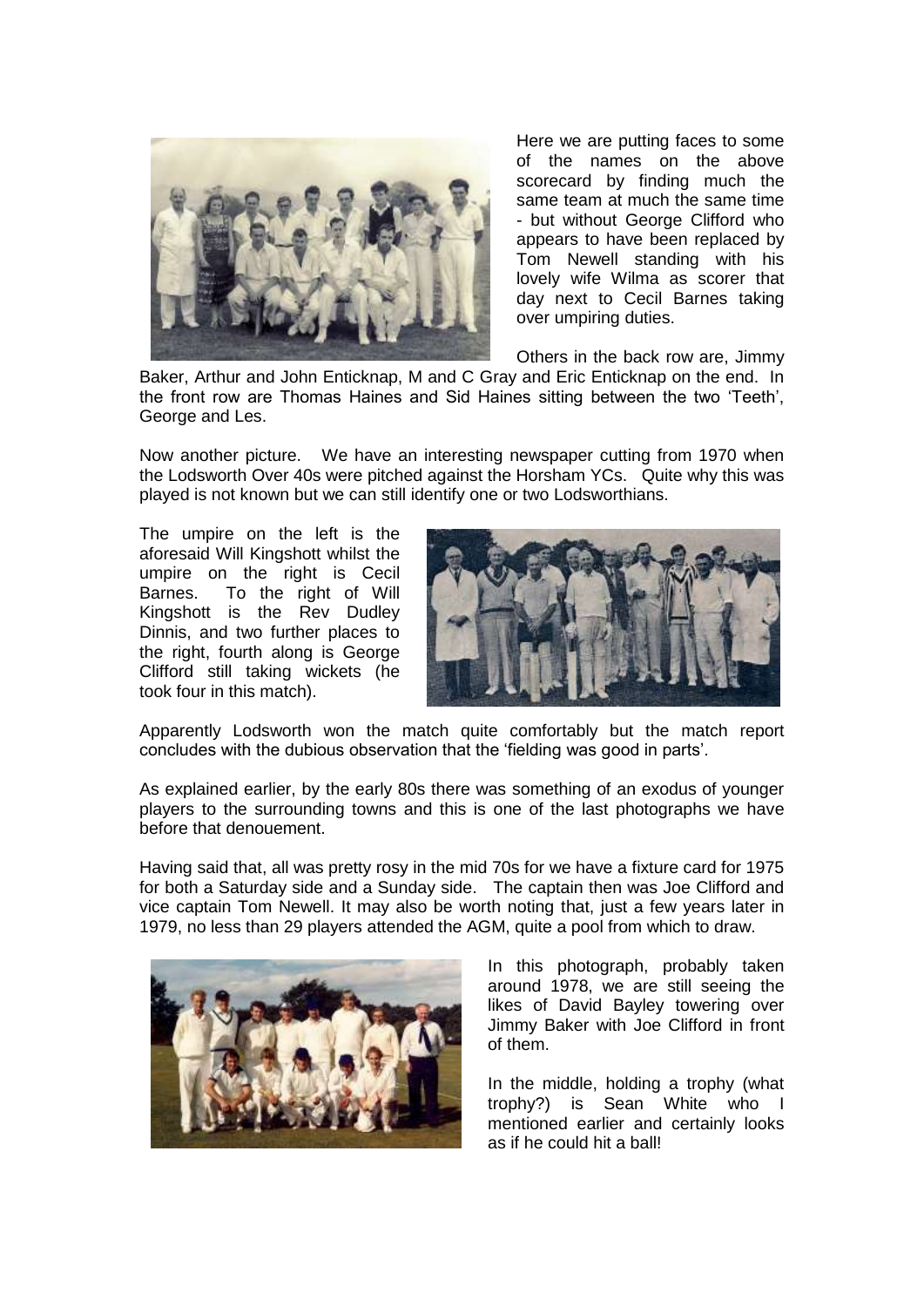

Here we are putting faces to some of the names on the above scorecard by finding much the same team at much the same time - but without George Clifford who appears to have been replaced by Tom Newell standing with his lovely wife Wilma as scorer that day next to Cecil Barnes taking over umpiring duties.

Others in the back row are, Jimmy

Baker, Arthur and John Enticknap, M and C Gray and Eric Enticknap on the end. In the front row are Thomas Haines and Sid Haines sitting between the two 'Teeth', George and Les.

Now another picture. We have an interesting newspaper cutting from 1970 when the Lodsworth Over 40s were pitched against the Horsham YCs. Quite why this was played is not known but we can still identify one or two Lodsworthians.

The umpire on the left is the aforesaid Will Kingshott whilst the umpire on the right is Cecil Barnes. To the right of Will Kingshott is the Rev Dudley Dinnis, and two further places to the right, fourth along is George Clifford still taking wickets (he took four in this match).



Apparently Lodsworth won the match quite comfortably but the match report concludes with the dubious observation that the 'fielding was good in parts'.

As explained earlier, by the early 80s there was something of an exodus of younger players to the surrounding towns and this is one of the last photographs we have before that denouement.

Having said that, all was pretty rosy in the mid 70s for we have a fixture card for 1975 for both a Saturday side and a Sunday side. The captain then was Joe Clifford and vice captain Tom Newell. It may also be worth noting that, just a few years later in 1979, no less than 29 players attended the AGM, quite a pool from which to draw.



In this photograph, probably taken around 1978, we are still seeing the likes of David Bayley towering over Jimmy Baker with Joe Clifford in front of them.

In the middle, holding a trophy (what trophy?) is Sean White who I mentioned earlier and certainly looks as if he could hit a ball!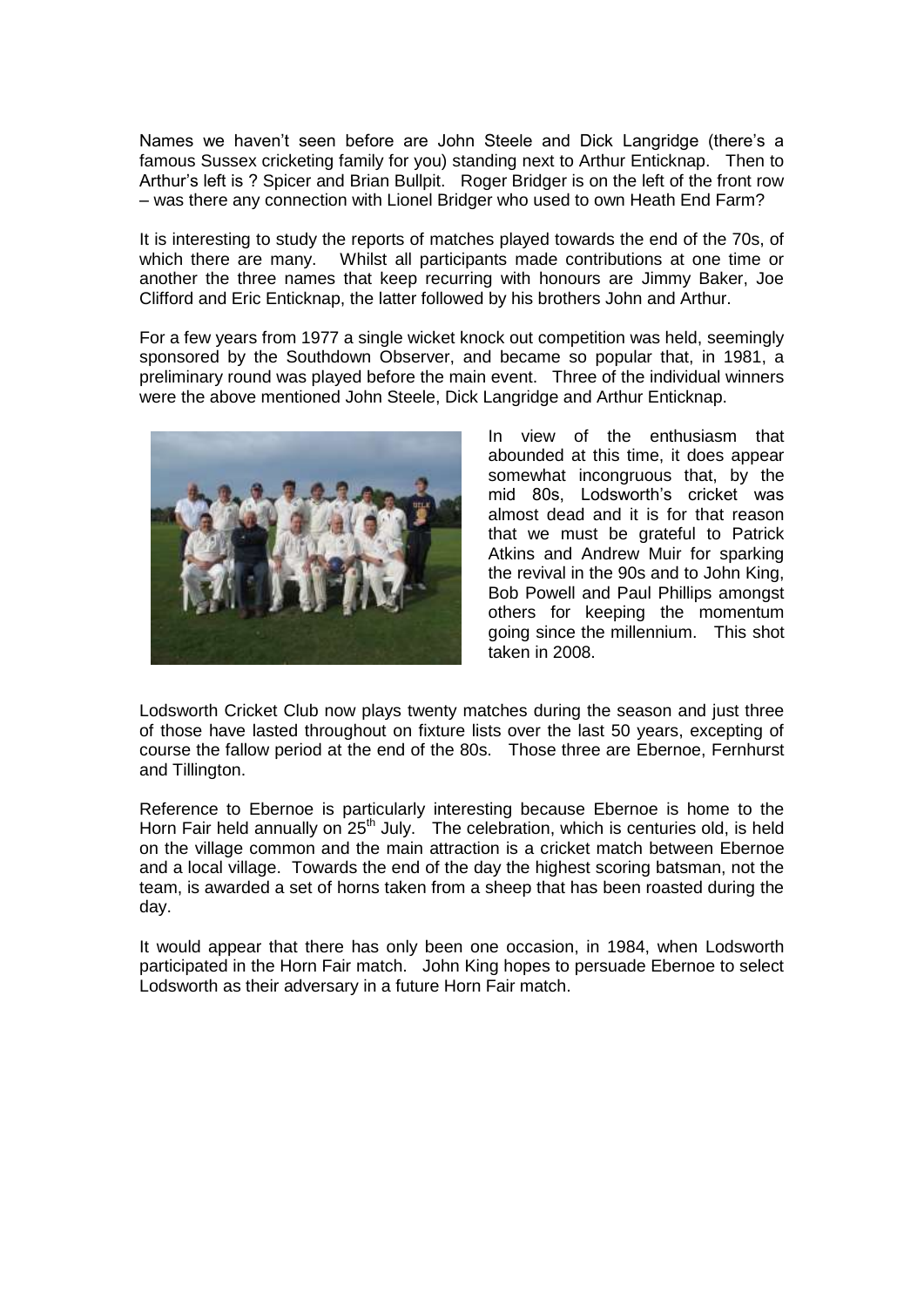Names we haven't seen before are John Steele and Dick Langridge (there's a famous Sussex cricketing family for you) standing next to Arthur Enticknap. Then to Arthur's left is ? Spicer and Brian Bullpit. Roger Bridger is on the left of the front row – was there any connection with Lionel Bridger who used to own Heath End Farm?

It is interesting to study the reports of matches played towards the end of the 70s, of which there are many. Whilst all participants made contributions at one time or another the three names that keep recurring with honours are Jimmy Baker, Joe Clifford and Eric Enticknap, the latter followed by his brothers John and Arthur.

For a few years from 1977 a single wicket knock out competition was held, seemingly sponsored by the Southdown Observer, and became so popular that, in 1981, a preliminary round was played before the main event. Three of the individual winners were the above mentioned John Steele, Dick Langridge and Arthur Enticknap.



In view of the enthusiasm that abounded at this time, it does appear somewhat incongruous that, by the mid 80s, Lodsworth's cricket was almost dead and it is for that reason that we must be grateful to Patrick Atkins and Andrew Muir for sparking the revival in the 90s and to John King, Bob Powell and Paul Phillips amongst others for keeping the momentum going since the millennium. This shot taken in 2008.

Lodsworth Cricket Club now plays twenty matches during the season and just three of those have lasted throughout on fixture lists over the last 50 years, excepting of course the fallow period at the end of the 80s. Those three are Ebernoe, Fernhurst and Tillington.

Reference to Ebernoe is particularly interesting because Ebernoe is home to the Horn Fair held annually on  $25<sup>th</sup>$  July. The celebration, which is centuries old, is held on the village common and the main attraction is a cricket match between Ebernoe and a local village. Towards the end of the day the highest scoring batsman, not the team, is awarded a set of horns taken from a sheep that has been roasted during the day.

It would appear that there has only been one occasion, in 1984, when Lodsworth participated in the Horn Fair match. John King hopes to persuade Ebernoe to select Lodsworth as their adversary in a future Horn Fair match.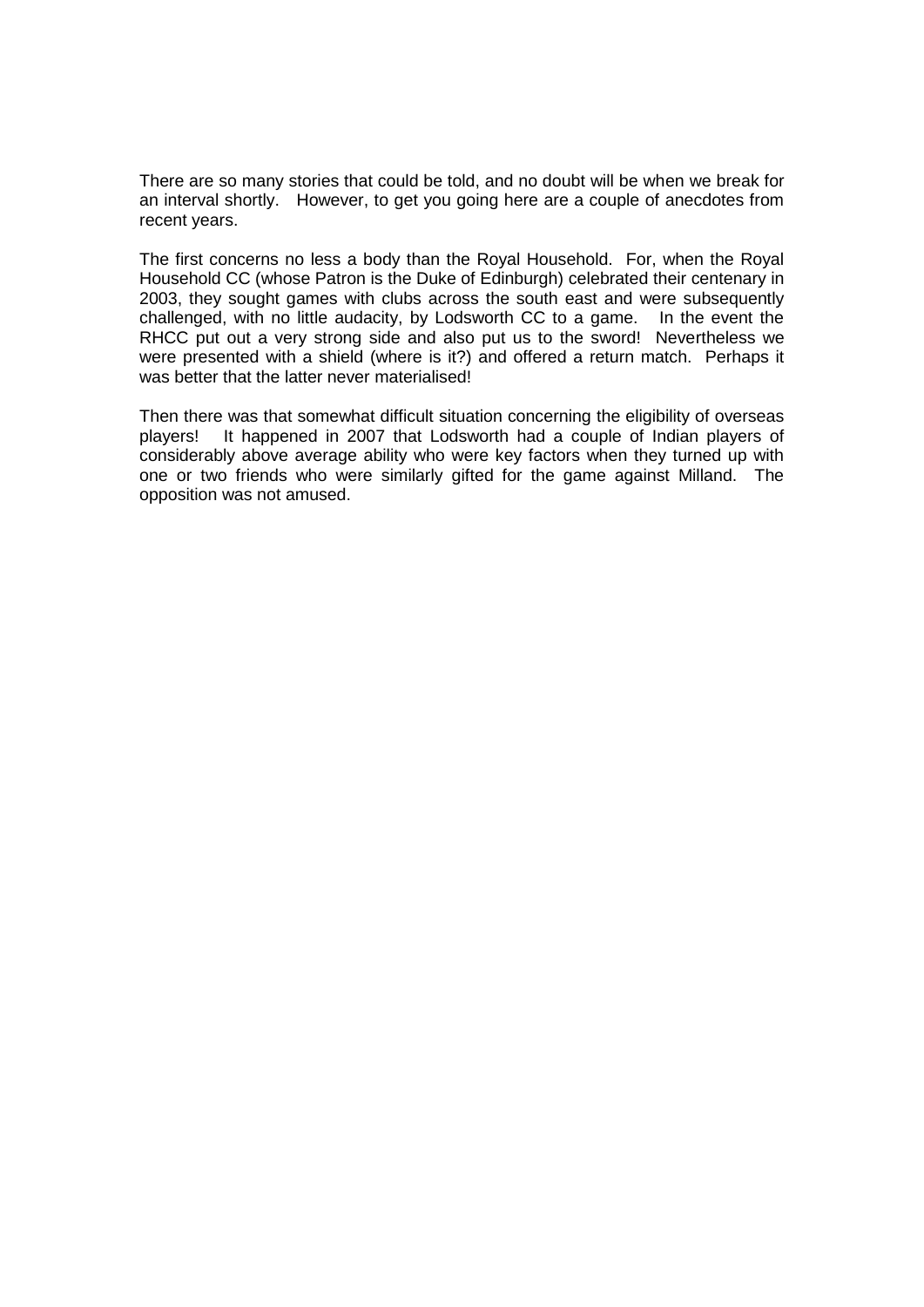There are so many stories that could be told, and no doubt will be when we break for an interval shortly. However, to get you going here are a couple of anecdotes from recent years.

The first concerns no less a body than the Royal Household. For, when the Royal Household CC (whose Patron is the Duke of Edinburgh) celebrated their centenary in 2003, they sought games with clubs across the south east and were subsequently challenged, with no little audacity, by Lodsworth CC to a game. In the event the RHCC put out a very strong side and also put us to the sword! Nevertheless we were presented with a shield (where is it?) and offered a return match. Perhaps it was better that the latter never materialised!

Then there was that somewhat difficult situation concerning the eligibility of overseas players! It happened in 2007 that Lodsworth had a couple of Indian players of considerably above average ability who were key factors when they turned up with one or two friends who were similarly gifted for the game against Milland. The opposition was not amused.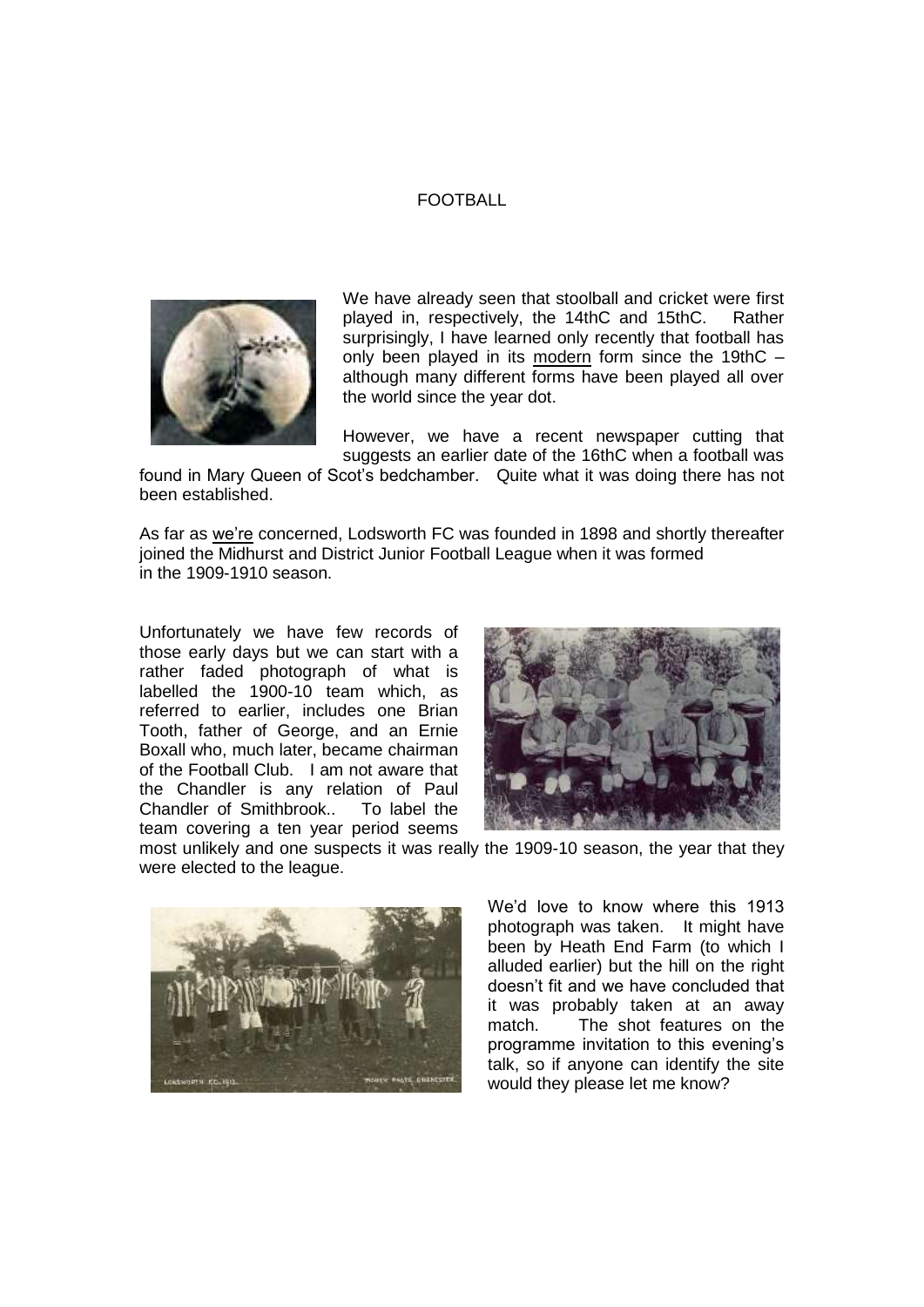## FOOTBALL



We have already seen that stoolball and cricket were first played in, respectively, the 14thC and 15thC. Rather surprisingly, I have learned only recently that football has only been played in its modern form since the 19thC – although many different forms have been played all over the world since the year dot.

However, we have a recent newspaper cutting that suggests an earlier date of the 16thC when a football was

found in Mary Queen of Scot's bedchamber. Quite what it was doing there has not been established.

As far as we're concerned, Lodsworth FC was founded in 1898 and shortly thereafter joined the Midhurst and District Junior Football League when it was formed in the 1909-1910 season.

Unfortunately we have few records of those early days but we can start with a rather faded photograph of what is labelled the 1900-10 team which, as referred to earlier, includes one Brian Tooth, father of George, and an Ernie Boxall who, much later, became chairman of the Football Club. I am not aware that the Chandler is any relation of Paul<br>Chandler of Smithbrook.. To label the Chandler of Smithbrook.. team covering a ten year period seems



most unlikely and one suspects it was really the 1909-10 season, the year that they were elected to the league.



We'd love to know where this 1913 photograph was taken. It might have been by Heath End Farm (to which I alluded earlier) but the hill on the right doesn't fit and we have concluded that it was probably taken at an away match. The shot features on the programme invitation to this evening's talk, so if anyone can identify the site would they please let me know?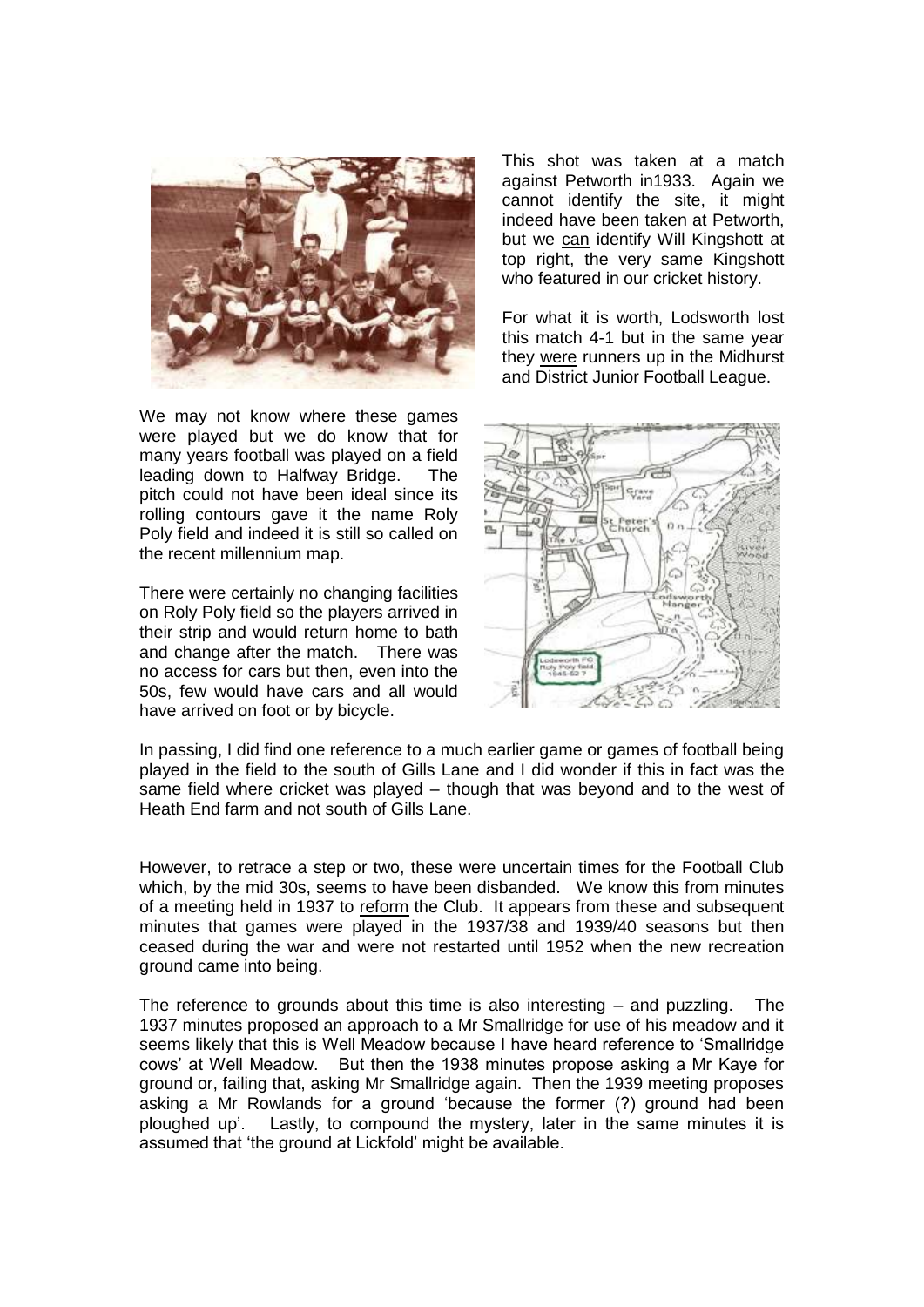

We may not know where these games were played but we do know that for many years football was played on a field leading down to Halfway Bridge. The pitch could not have been ideal since its rolling contours gave it the name Roly Poly field and indeed it is still so called on the recent millennium map.

There were certainly no changing facilities on Roly Poly field so the players arrived in their strip and would return home to bath and change after the match. There was no access for cars but then, even into the 50s, few would have cars and all would have arrived on foot or by bicycle.

This shot was taken at a match against Petworth in1933. Again we cannot identify the site, it might indeed have been taken at Petworth, but we can identify Will Kingshott at top right, the very same Kingshott who featured in our cricket history.

For what it is worth, Lodsworth lost this match 4-1 but in the same year they were runners up in the Midhurst and District Junior Football League.



In passing, I did find one reference to a much earlier game or games of football being played in the field to the south of Gills Lane and I did wonder if this in fact was the same field where cricket was played – though that was beyond and to the west of Heath End farm and not south of Gills Lane.

However, to retrace a step or two, these were uncertain times for the Football Club which, by the mid 30s, seems to have been disbanded. We know this from minutes of a meeting held in 1937 to reform the Club. It appears from these and subsequent minutes that games were played in the 1937/38 and 1939/40 seasons but then ceased during the war and were not restarted until 1952 when the new recreation ground came into being.

The reference to grounds about this time is also interesting – and puzzling. The 1937 minutes proposed an approach to a Mr Smallridge for use of his meadow and it seems likely that this is Well Meadow because I have heard reference to 'Smallridge cows' at Well Meadow. But then the 1938 minutes propose asking a Mr Kaye for ground or, failing that, asking Mr Smallridge again. Then the 1939 meeting proposes asking a Mr Rowlands for a ground 'because the former (?) ground had been ploughed up'. Lastly, to compound the mystery, later in the same minutes it is assumed that 'the ground at Lickfold' might be available.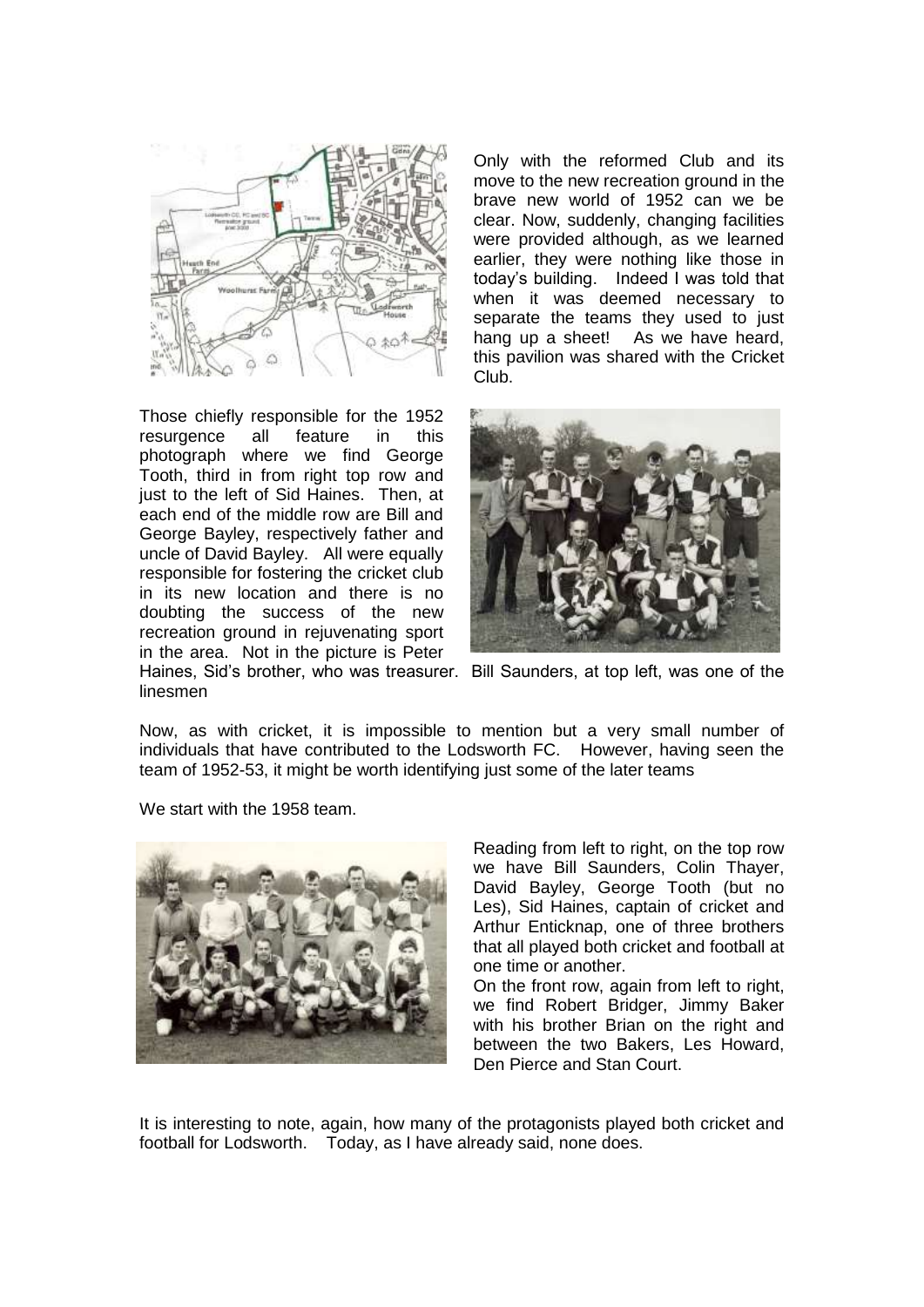

Those chiefly responsible for the 1952 resurgence all feature in this photograph where we find George Tooth, third in from right top row and just to the left of Sid Haines. Then, at each end of the middle row are Bill and George Bayley, respectively father and uncle of David Bayley. All were equally responsible for fostering the cricket club in its new location and there is no doubting the success of the new recreation ground in rejuvenating sport in the area. Not in the picture is Peter

Only with the reformed Club and its move to the new recreation ground in the brave new world of 1952 can we be clear. Now, suddenly, changing facilities were provided although, as we learned earlier, they were nothing like those in today's building. Indeed I was told that when it was deemed necessary to separate the teams they used to just hang up a sheet! As we have heard, this pavilion was shared with the Cricket Club.



Haines, Sid's brother, who was treasurer. Bill Saunders, at top left, was one of the linesmen

Now, as with cricket, it is impossible to mention but a very small number of individuals that have contributed to the Lodsworth FC. However, having seen the team of 1952-53, it might be worth identifying just some of the later teams

We start with the 1958 team.



Reading from left to right, on the top row we have Bill Saunders, Colin Thayer, David Bayley, George Tooth (but no Les), Sid Haines, captain of cricket and Arthur Enticknap, one of three brothers that all played both cricket and football at one time or another.

On the front row, again from left to right, we find Robert Bridger, Jimmy Baker with his brother Brian on the right and between the two Bakers, Les Howard, Den Pierce and Stan Court.

It is interesting to note, again, how many of the protagonists played both cricket and football for Lodsworth. Today, as I have already said, none does.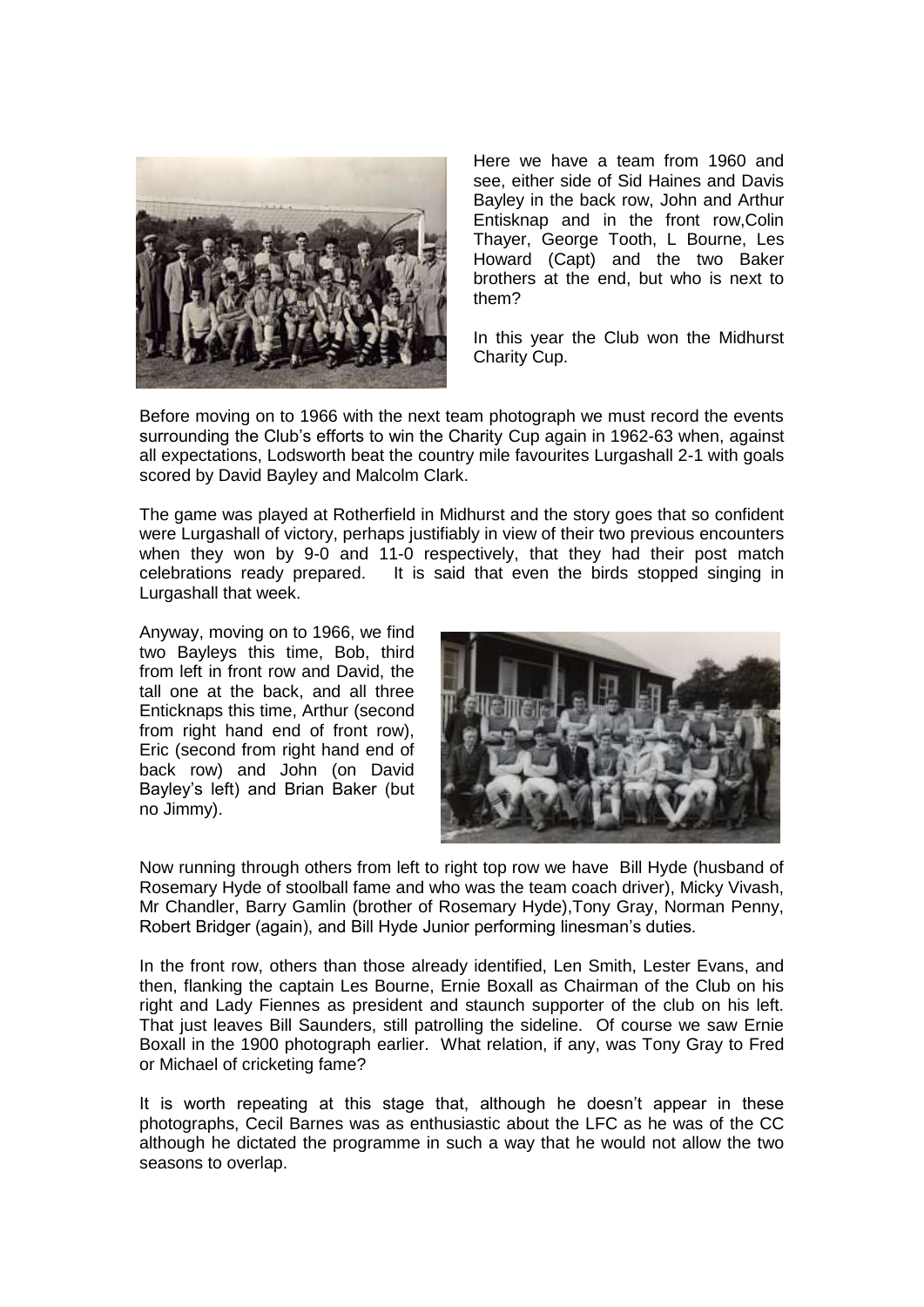

Here we have a team from 1960 and see, either side of Sid Haines and Davis Bayley in the back row, John and Arthur Entisknap and in the front row,Colin Thayer, George Tooth, L Bourne, Les Howard (Capt) and the two Baker brothers at the end, but who is next to them?

In this year the Club won the Midhurst Charity Cup.

Before moving on to 1966 with the next team photograph we must record the events surrounding the Club's efforts to win the Charity Cup again in 1962-63 when, against all expectations, Lodsworth beat the country mile favourites Lurgashall 2-1 with goals scored by David Bayley and Malcolm Clark.

The game was played at Rotherfield in Midhurst and the story goes that so confident were Lurgashall of victory, perhaps justifiably in view of their two previous encounters when they won by 9-0 and 11-0 respectively, that they had their post match celebrations ready prepared. It is said that even the birds stopped singing in Lurgashall that week.

Anyway, moving on to 1966, we find two Bayleys this time, Bob, third from left in front row and David, the tall one at the back, and all three Enticknaps this time, Arthur (second from right hand end of front row), Eric (second from right hand end of back row) and John (on David Bayley's left) and Brian Baker (but no Jimmy).



Now running through others from left to right top row we have Bill Hyde (husband of Rosemary Hyde of stoolball fame and who was the team coach driver), Micky Vivash, Mr Chandler, Barry Gamlin (brother of Rosemary Hyde),Tony Gray, Norman Penny, Robert Bridger (again), and Bill Hyde Junior performing linesman's duties.

In the front row, others than those already identified, Len Smith, Lester Evans, and then, flanking the captain Les Bourne, Ernie Boxall as Chairman of the Club on his right and Lady Fiennes as president and staunch supporter of the club on his left. That just leaves Bill Saunders, still patrolling the sideline. Of course we saw Ernie Boxall in the 1900 photograph earlier. What relation, if any, was Tony Gray to Fred or Michael of cricketing fame?

It is worth repeating at this stage that, although he doesn't appear in these photographs, Cecil Barnes was as enthusiastic about the LFC as he was of the CC although he dictated the programme in such a way that he would not allow the two seasons to overlap.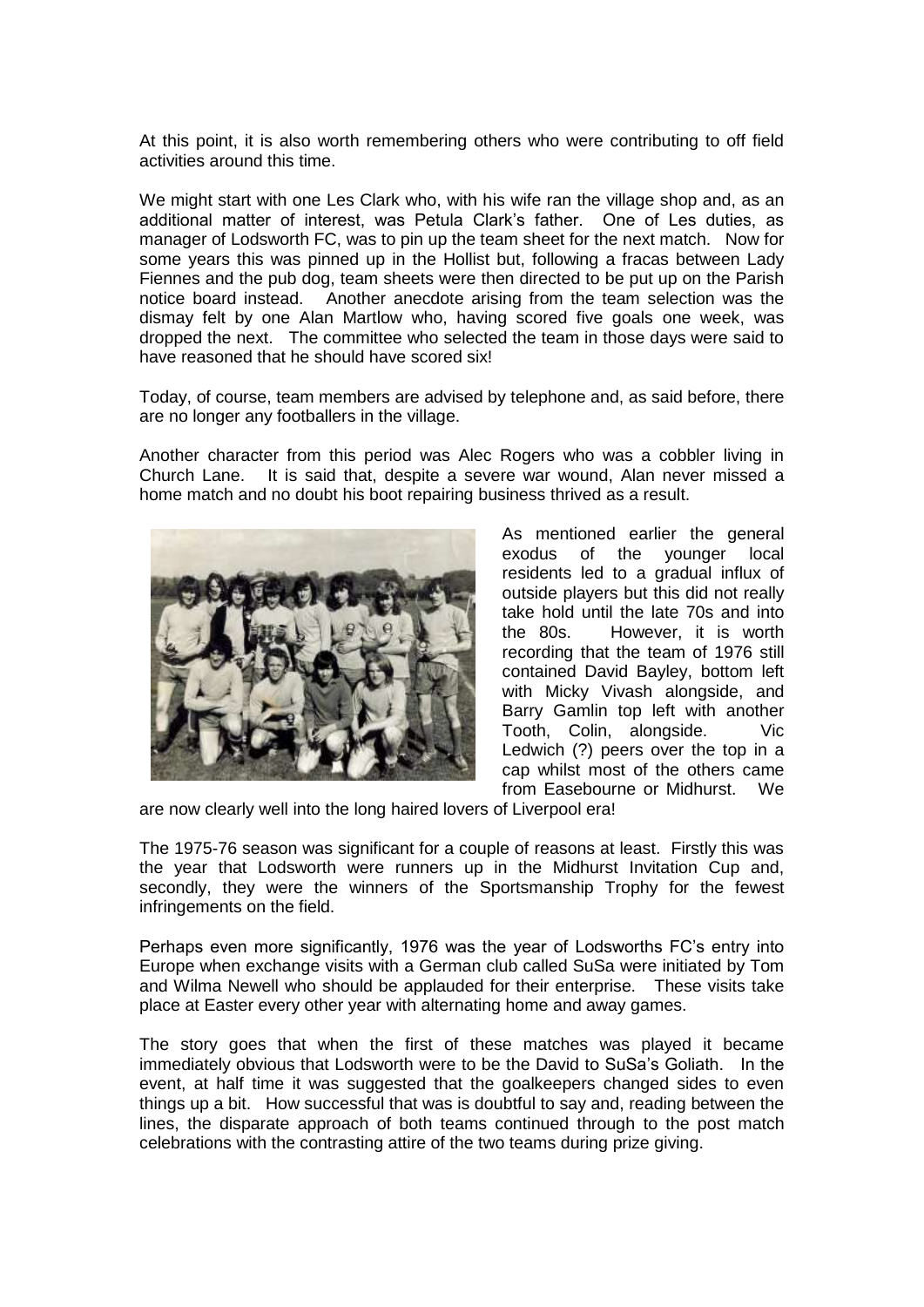At this point, it is also worth remembering others who were contributing to off field activities around this time.

We might start with one Les Clark who, with his wife ran the village shop and, as an additional matter of interest, was Petula Clark's father. One of Les duties, as manager of Lodsworth FC, was to pin up the team sheet for the next match. Now for some years this was pinned up in the Hollist but, following a fracas between Lady Fiennes and the pub dog, team sheets were then directed to be put up on the Parish notice board instead. Another anecdote arising from the team selection was the dismay felt by one Alan Martlow who, having scored five goals one week, was dropped the next. The committee who selected the team in those days were said to have reasoned that he should have scored six!

Today, of course, team members are advised by telephone and, as said before, there are no longer any footballers in the village.

Another character from this period was Alec Rogers who was a cobbler living in Church Lane. It is said that, despite a severe war wound, Alan never missed a home match and no doubt his boot repairing business thrived as a result.



As mentioned earlier the general exodus of the younger local residents led to a gradual influx of outside players but this did not really take hold until the late 70s and into the 80s. However, it is worth recording that the team of 1976 still contained David Bayley, bottom left with Micky Vivash alongside, and Barry Gamlin top left with another Tooth, Colin, alongside. Vic Ledwich (?) peers over the top in a cap whilst most of the others came from Easebourne or Midhurst. We

are now clearly well into the long haired lovers of Liverpool era!

The 1975-76 season was significant for a couple of reasons at least. Firstly this was the year that Lodsworth were runners up in the Midhurst Invitation Cup and, secondly, they were the winners of the Sportsmanship Trophy for the fewest infringements on the field.

Perhaps even more significantly, 1976 was the year of Lodsworths FC's entry into Europe when exchange visits with a German club called SuSa were initiated by Tom and Wilma Newell who should be applauded for their enterprise. These visits take place at Easter every other year with alternating home and away games.

The story goes that when the first of these matches was played it became immediately obvious that Lodsworth were to be the David to SuSa's Goliath. In the event, at half time it was suggested that the goalkeepers changed sides to even things up a bit. How successful that was is doubtful to say and, reading between the lines, the disparate approach of both teams continued through to the post match celebrations with the contrasting attire of the two teams during prize giving.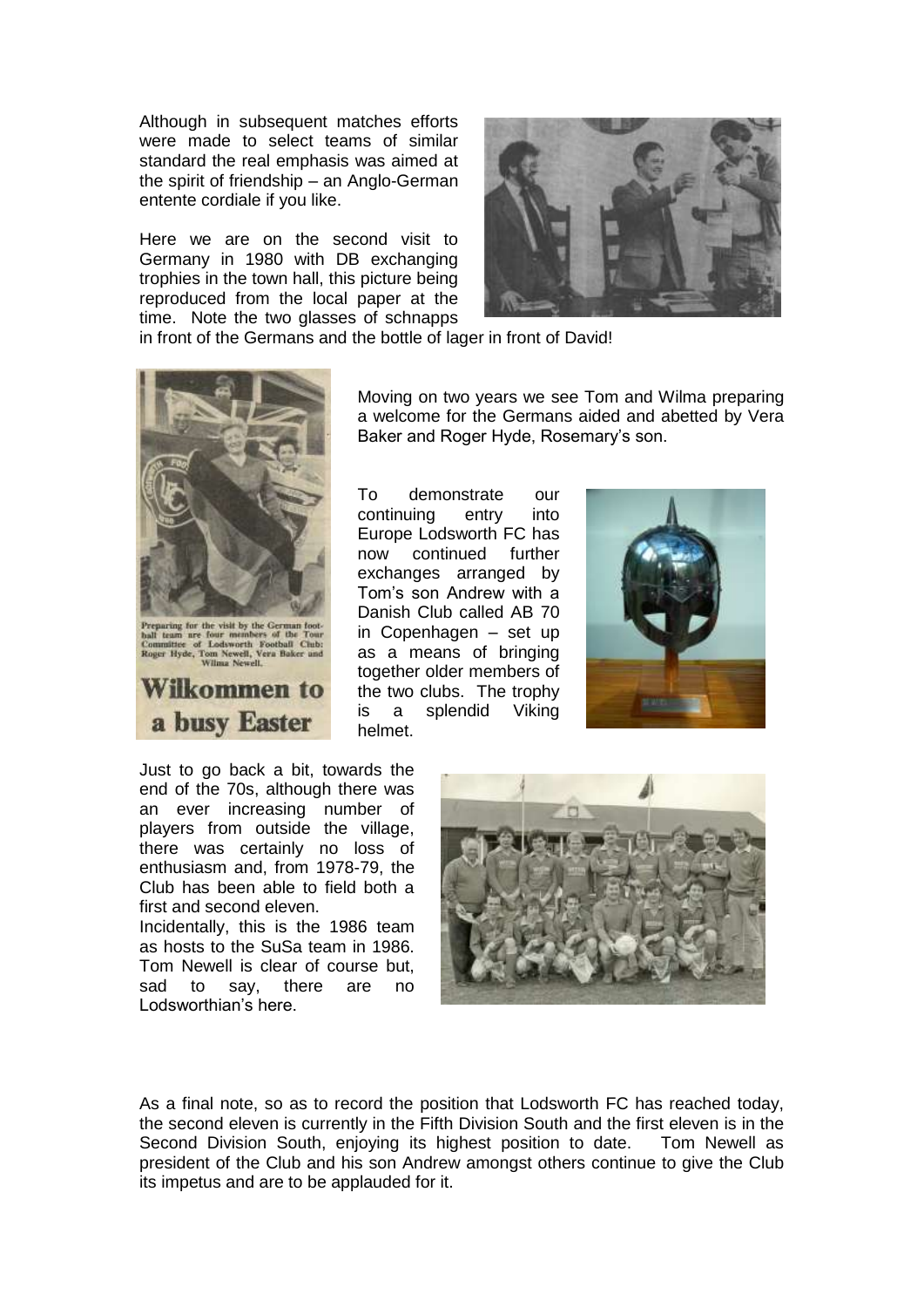Although in subsequent matches efforts were made to select teams of similar standard the real emphasis was aimed at the spirit of friendship – an Anglo-German entente cordiale if you like.

Here we are on the second visit to Germany in 1980 with DB exchanging trophies in the town hall, this picture being reproduced from the local paper at the time. Note the two glasses of schnapps



in front of the Germans and the bottle of lager in front of David!



Preparing for the visit by the Germa<br>ball team are four members of the<br>Committee of Lodwarch Football<br>Roger Hyde, Tom Newell, Vera Bak<br>Wilma Newell,



Moving on two years we see Tom and Wilma preparing a welcome for the Germans aided and abetted by Vera Baker and Roger Hyde, Rosemary's son.

To demonstrate our continuing entry into Europe Lodsworth FC has now continued further exchanges arranged by Tom's son Andrew with a Danish Club called AB 70 in Copenhagen – set up as a means of bringing together older members of the two clubs. The trophy is a splendid Viking helmet.



Just to go back a bit, towards the end of the 70s, although there was an ever increasing number of players from outside the village, there was certainly no loss of enthusiasm and, from 1978-79, the Club has been able to field both a first and second eleven.

Incidentally, this is the 1986 team as hosts to the SuSa team in 1986. Tom Newell is clear of course but, sad to say, there are no Lodsworthian's here.



As a final note, so as to record the position that Lodsworth FC has reached today, the second eleven is currently in the Fifth Division South and the first eleven is in the Second Division South, enjoying its highest position to date. Tom Newell as president of the Club and his son Andrew amongst others continue to give the Club its impetus and are to be applauded for it.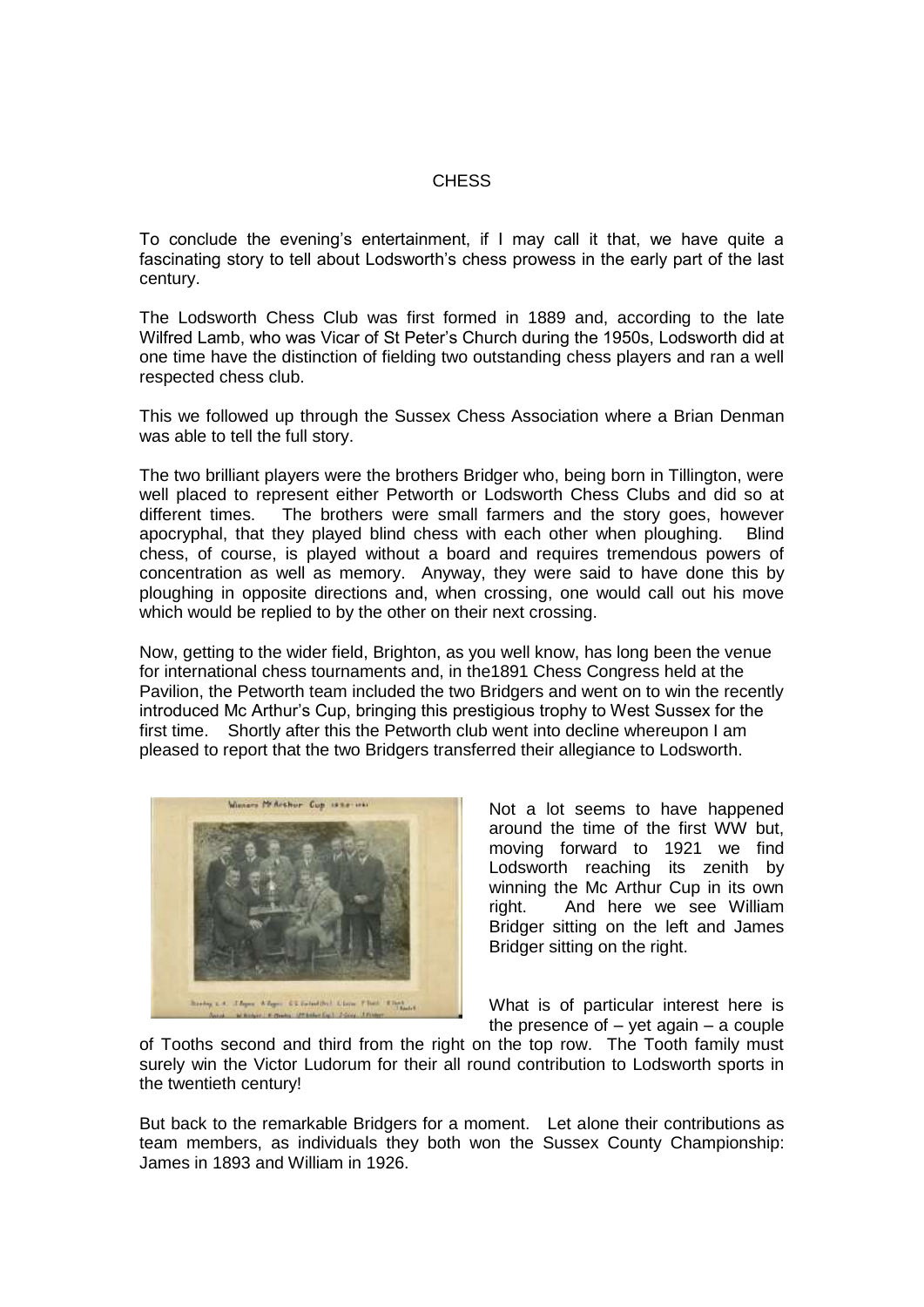# **CHESS**

To conclude the evening's entertainment, if I may call it that, we have quite a fascinating story to tell about Lodsworth's chess prowess in the early part of the last century.

The Lodsworth Chess Club was first formed in 1889 and, according to the late Wilfred Lamb, who was Vicar of St Peter's Church during the 1950s, Lodsworth did at one time have the distinction of fielding two outstanding chess players and ran a well respected chess club.

This we followed up through the Sussex Chess Association where a Brian Denman was able to tell the full story.

The two brilliant players were the brothers Bridger who, being born in Tillington, were well placed to represent either Petworth or Lodsworth Chess Clubs and did so at different times. The brothers were small farmers and the story goes, however apocryphal, that they played blind chess with each other when ploughing. Blind chess, of course, is played without a board and requires tremendous powers of concentration as well as memory. Anyway, they were said to have done this by ploughing in opposite directions and, when crossing, one would call out his move which would be replied to by the other on their next crossing.

Now, getting to the wider field, Brighton, as you well know, has long been the venue for international chess tournaments and, in the1891 Chess Congress held at the Pavilion, the Petworth team included the two Bridgers and went on to win the recently introduced Mc Arthur's Cup, bringing this prestigious trophy to West Sussex for the first time. Shortly after this the Petworth club went into decline whereupon I am pleased to report that the two Bridgers transferred their allegiance to Lodsworth.



Not a lot seems to have happened around the time of the first WW but, moving forward to 1921 we find Lodsworth reaching its zenith by winning the Mc Arthur Cup in its own right. And here we see William Bridger sitting on the left and James Bridger sitting on the right.

What is of particular interest here is the presence of  $-$  yet again  $-$  a couple

of Tooths second and third from the right on the top row. The Tooth family must surely win the Victor Ludorum for their all round contribution to Lodsworth sports in the twentieth century!

But back to the remarkable Bridgers for a moment. Let alone their contributions as team members, as individuals they both won the Sussex County Championship: James in 1893 and William in 1926.